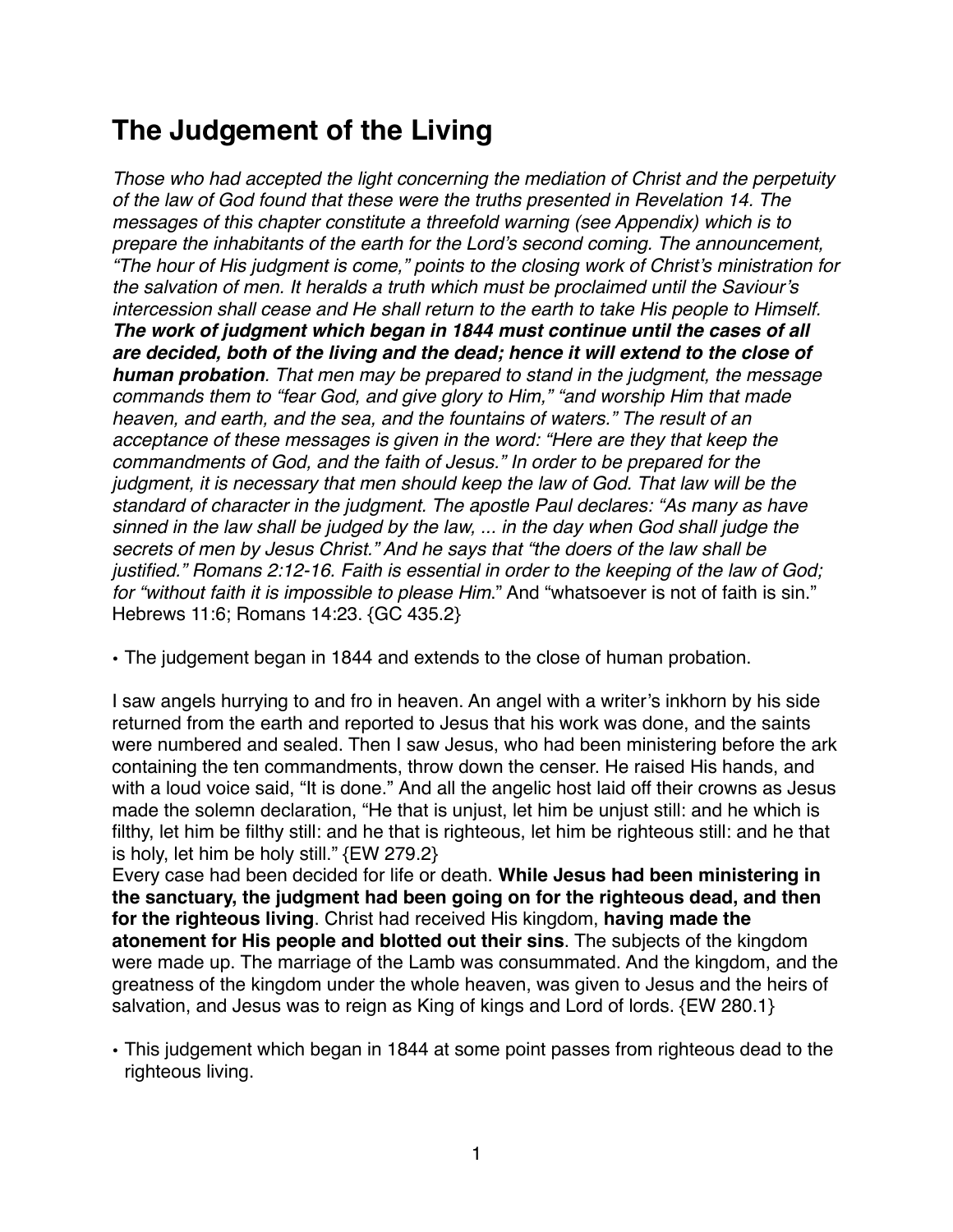# **The Judgement of the Living**

*Those who had accepted the light concerning the mediation of Christ and the perpetuity of the law of God found that these were the truths presented in Revelation 14. The messages of this chapter constitute a threefold warning (see Appendix) which is to prepare the inhabitants of the earth for the Lord's second coming. The announcement, "The hour of His judgment is come," points to the closing work of Christ's ministration for the salvation of men. It heralds a truth which must be proclaimed until the Saviour's intercession shall cease and He shall return to the earth to take His people to Himself. The work of judgment which began in 1844 must continue until the cases of all are decided, both of the living and the dead; hence it will extend to the close of human probation. That men may be prepared to stand in the judgment, the message commands them to "fear God, and give glory to Him," "and worship Him that made heaven, and earth, and the sea, and the fountains of waters." The result of an acceptance of these messages is given in the word: "Here are they that keep the commandments of God, and the faith of Jesus." In order to be prepared for the judgment, it is necessary that men should keep the law of God. That law will be the standard of character in the judgment. The apostle Paul declares: "As many as have sinned in the law shall be judged by the law, ... in the day when God shall judge the secrets of men by Jesus Christ." And he says that "the doers of the law shall be justified." Romans 2:12-16. Faith is essential in order to the keeping of the law of God; for "without faith it is impossible to please Him*." And "whatsoever is not of faith is sin." Hebrews 11:6; Romans 14:23. {GC 435.2}

• The judgement began in 1844 and extends to the close of human probation.

I saw angels hurrying to and fro in heaven. An angel with a writer's inkhorn by his side returned from the earth and reported to Jesus that his work was done, and the saints were numbered and sealed. Then I saw Jesus, who had been ministering before the ark containing the ten commandments, throw down the censer. He raised His hands, and with a loud voice said, "It is done." And all the angelic host laid off their crowns as Jesus made the solemn declaration, "He that is unjust, let him be unjust still: and he which is filthy, let him be filthy still: and he that is righteous, let him be righteous still: and he that is holy, let him be holy still." {EW 279.2}

Every case had been decided for life or death. **While Jesus had been ministering in the sanctuary, the judgment had been going on for the righteous dead, and then for the righteous living**. Christ had received His kingdom, **having made the atonement for His people and blotted out their sins**. The subjects of the kingdom were made up. The marriage of the Lamb was consummated. And the kingdom, and the greatness of the kingdom under the whole heaven, was given to Jesus and the heirs of salvation, and Jesus was to reign as King of kings and Lord of lords. {EW 280.1}

• This judgement which began in 1844 at some point passes from righteous dead to the righteous living.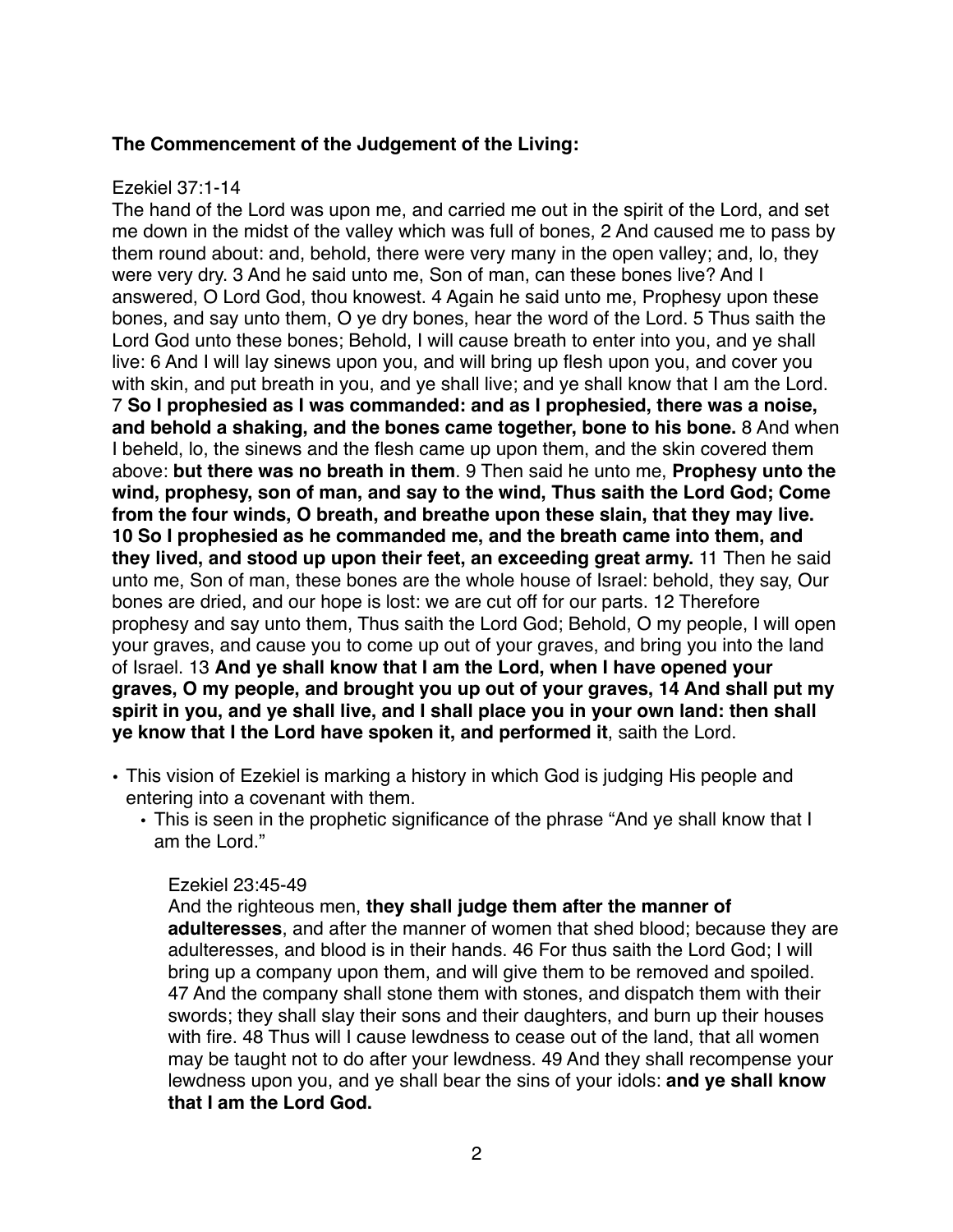## **The Commencement of the Judgement of the Living:**

#### Ezekiel 37:1-14

The hand of the Lord was upon me, and carried me out in the spirit of the Lord, and set me down in the midst of the valley which was full of bones, 2 And caused me to pass by them round about: and, behold, there were very many in the open valley; and, lo, they were very dry. 3 And he said unto me, Son of man, can these bones live? And I answered, O Lord God, thou knowest. 4 Again he said unto me, Prophesy upon these bones, and say unto them, O ye dry bones, hear the word of the Lord. 5 Thus saith the Lord God unto these bones; Behold, I will cause breath to enter into you, and ye shall live: 6 And I will lay sinews upon you, and will bring up flesh upon you, and cover you with skin, and put breath in you, and ye shall live; and ye shall know that I am the Lord. 7 **So I prophesied as I was commanded: and as I prophesied, there was a noise, and behold a shaking, and the bones came together, bone to his bone.** 8 And when I beheld, lo, the sinews and the flesh came up upon them, and the skin covered them above: **but there was no breath in them**. 9 Then said he unto me, **Prophesy unto the wind, prophesy, son of man, and say to the wind, Thus saith the Lord God; Come from the four winds, O breath, and breathe upon these slain, that they may live. 10 So I prophesied as he commanded me, and the breath came into them, and they lived, and stood up upon their feet, an exceeding great army.** 11 Then he said unto me, Son of man, these bones are the whole house of Israel: behold, they say, Our bones are dried, and our hope is lost: we are cut off for our parts. 12 Therefore prophesy and say unto them, Thus saith the Lord God; Behold, O my people, I will open your graves, and cause you to come up out of your graves, and bring you into the land of Israel. 13 **And ye shall know that I am the Lord, when I have opened your graves, O my people, and brought you up out of your graves, 14 And shall put my spirit in you, and ye shall live, and I shall place you in your own land: then shall ye know that I the Lord have spoken it, and performed it**, saith the Lord.

- This vision of Ezekiel is marking a history in which God is judging His people and entering into a covenant with them.
	- This is seen in the prophetic significance of the phrase "And ye shall know that I am the Lord."

#### Ezekiel 23:45-49

And the righteous men, **they shall judge them after the manner of adulteresses**, and after the manner of women that shed blood; because they are adulteresses, and blood is in their hands. 46 For thus saith the Lord God; I will bring up a company upon them, and will give them to be removed and spoiled. 47 And the company shall stone them with stones, and dispatch them with their swords; they shall slay their sons and their daughters, and burn up their houses with fire. 48 Thus will I cause lewdness to cease out of the land, that all women may be taught not to do after your lewdness. 49 And they shall recompense your lewdness upon you, and ye shall bear the sins of your idols: **and ye shall know that I am the Lord God.**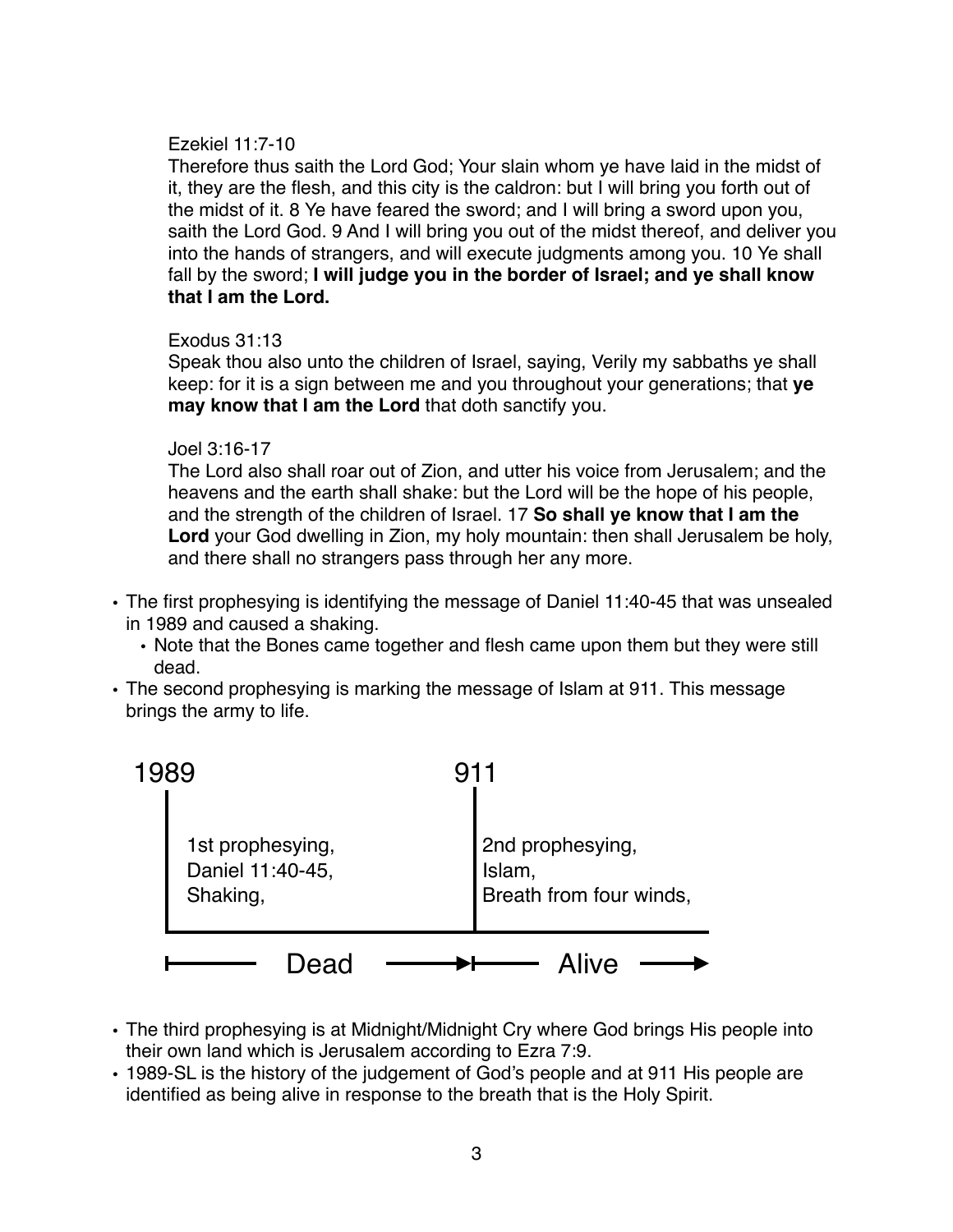#### Ezekiel 11:7-10

Therefore thus saith the Lord God; Your slain whom ye have laid in the midst of it, they are the flesh, and this city is the caldron: but I will bring you forth out of the midst of it. 8 Ye have feared the sword; and I will bring a sword upon you, saith the Lord God. 9 And I will bring you out of the midst thereof, and deliver you into the hands of strangers, and will execute judgments among you. 10 Ye shall fall by the sword; **I will judge you in the border of Israel; and ye shall know that I am the Lord.**

## Exodus 31:13

Speak thou also unto the children of Israel, saying, Verily my sabbaths ye shall keep: for it is a sign between me and you throughout your generations; that **ye may know that I am the Lord** that doth sanctify you.

#### Joel 3:16-17

The Lord also shall roar out of Zion, and utter his voice from Jerusalem; and the heavens and the earth shall shake: but the Lord will be the hope of his people, and the strength of the children of Israel. 17 **So shall ye know that I am the Lord** your God dwelling in Zion, my holy mountain: then shall Jerusalem be holy, and there shall no strangers pass through her any more.

- The first prophesying is identifying the message of Daniel 11:40-45 that was unsealed in 1989 and caused a shaking.
	- Note that the Bones came together and flesh came upon them but they were still dead.
- The second prophesying is marking the message of Islam at 911. This message brings the army to life.



- The third prophesying is at Midnight/Midnight Cry where God brings His people into their own land which is Jerusalem according to Ezra 7:9.
- 1989-SL is the history of the judgement of God's people and at 911 His people are identified as being alive in response to the breath that is the Holy Spirit.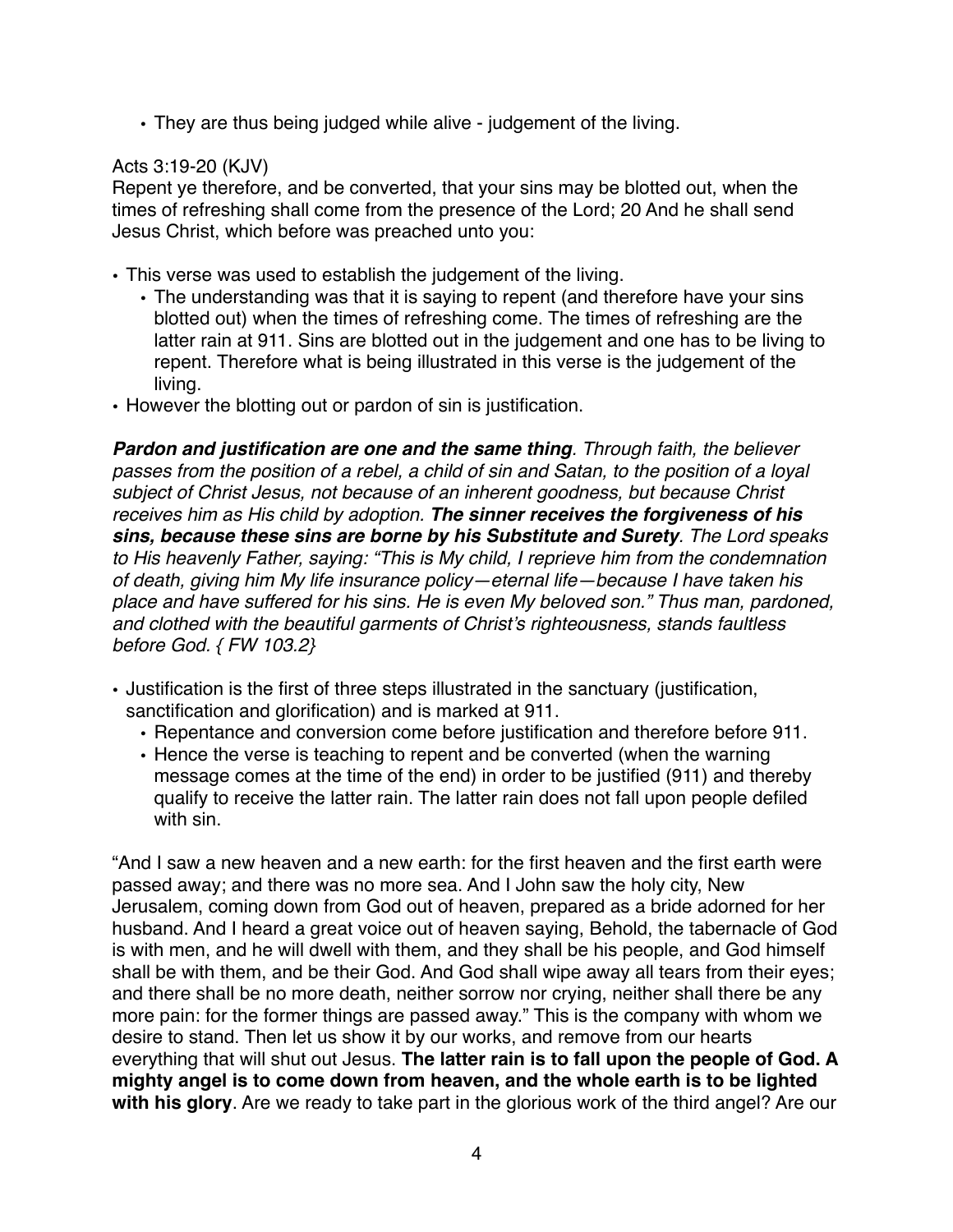• They are thus being judged while alive - judgement of the living.

## Acts 3:19-20 (KJV)

Repent ye therefore, and be converted, that your sins may be blotted out, when the times of refreshing shall come from the presence of the Lord; 20 And he shall send Jesus Christ, which before was preached unto you:

- This verse was used to establish the judgement of the living.
	- The understanding was that it is saying to repent (and therefore have your sins blotted out) when the times of refreshing come. The times of refreshing are the latter rain at 911. Sins are blotted out in the judgement and one has to be living to repent. Therefore what is being illustrated in this verse is the judgement of the living.
- However the blotting out or pardon of sin is justification.

*Pardon and justification are one and the same thing. Through faith, the believer passes from the position of a rebel, a child of sin and Satan, to the position of a loyal subject of Christ Jesus, not because of an inherent goodness, but because Christ receives him as His child by adoption. The sinner receives the forgiveness of his sins, because these sins are borne by his Substitute and Surety. The Lord speaks to His heavenly Father, saying: "This is My child, I reprieve him from the condemnation of death, giving him My life insurance policy—eternal life—because I have taken his place and have suffered for his sins. He is even My beloved son." Thus man, pardoned, and clothed with the beautiful garments of Christ's righteousness, stands faultless before God. { FW 103.2}* 

- Justification is the first of three steps illustrated in the sanctuary (justification, sanctification and glorification) and is marked at 911.
	- Repentance and conversion come before justification and therefore before 911.
	- Hence the verse is teaching to repent and be converted (when the warning message comes at the time of the end) in order to be justified (911) and thereby qualify to receive the latter rain. The latter rain does not fall upon people defiled with sin.

"And I saw a new heaven and a new earth: for the first heaven and the first earth were passed away; and there was no more sea. And I John saw the holy city, New Jerusalem, coming down from God out of heaven, prepared as a bride adorned for her husband. And I heard a great voice out of heaven saying, Behold, the tabernacle of God is with men, and he will dwell with them, and they shall be his people, and God himself shall be with them, and be their God. And God shall wipe away all tears from their eyes; and there shall be no more death, neither sorrow nor crying, neither shall there be any more pain: for the former things are passed away." This is the company with whom we desire to stand. Then let us show it by our works, and remove from our hearts everything that will shut out Jesus. **The latter rain is to fall upon the people of God. A mighty angel is to come down from heaven, and the whole earth is to be lighted with his glory**. Are we ready to take part in the glorious work of the third angel? Are our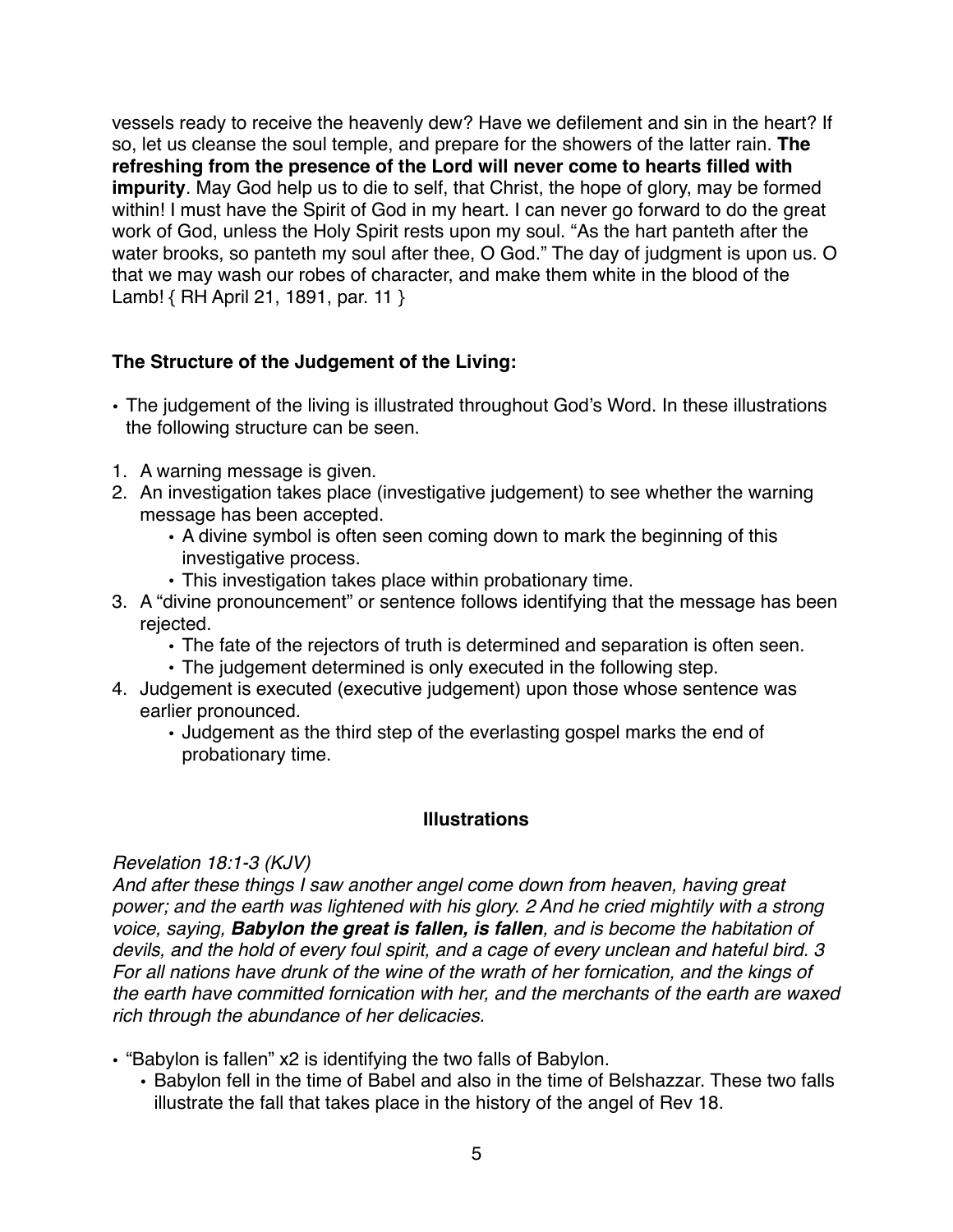vessels ready to receive the heavenly dew? Have we defilement and sin in the heart? If so, let us cleanse the soul temple, and prepare for the showers of the latter rain. **The refreshing from the presence of the Lord will never come to hearts filled with impurity**. May God help us to die to self, that Christ, the hope of glory, may be formed within! I must have the Spirit of God in my heart. I can never go forward to do the great work of God, unless the Holy Spirit rests upon my soul. "As the hart panteth after the water brooks, so panteth my soul after thee, O God." The day of judgment is upon us. O that we may wash our robes of character, and make them white in the blood of the Lamb! { RH April 21, 1891, par. 11 }

## **The Structure of the Judgement of the Living:**

- The judgement of the living is illustrated throughout God's Word. In these illustrations the following structure can be seen.
- 1. A warning message is given.
- 2. An investigation takes place (investigative judgement) to see whether the warning message has been accepted.
	- A divine symbol is often seen coming down to mark the beginning of this investigative process.
	- This investigation takes place within probationary time.
- 3. A "divine pronouncement" or sentence follows identifying that the message has been rejected.
	- The fate of the rejectors of truth is determined and separation is often seen.
	- The judgement determined is only executed in the following step.
- 4. Judgement is executed (executive judgement) upon those whose sentence was earlier pronounced.
	- Judgement as the third step of the everlasting gospel marks the end of probationary time.

#### **Illustrations**

#### *Revelation 18:1-3 (KJV)*

*And after these things I saw another angel come down from heaven, having great power; and the earth was lightened with his glory. 2 And he cried mightily with a strong voice, saying, Babylon the great is fallen, is fallen, and is become the habitation of devils, and the hold of every foul spirit, and a cage of every unclean and hateful bird. 3 For all nations have drunk of the wine of the wrath of her fornication, and the kings of the earth have committed fornication with her, and the merchants of the earth are waxed rich through the abundance of her delicacies.*

- "Babylon is fallen" x2 is identifying the two falls of Babylon.
	- Babylon fell in the time of Babel and also in the time of Belshazzar. These two falls illustrate the fall that takes place in the history of the angel of Rev 18.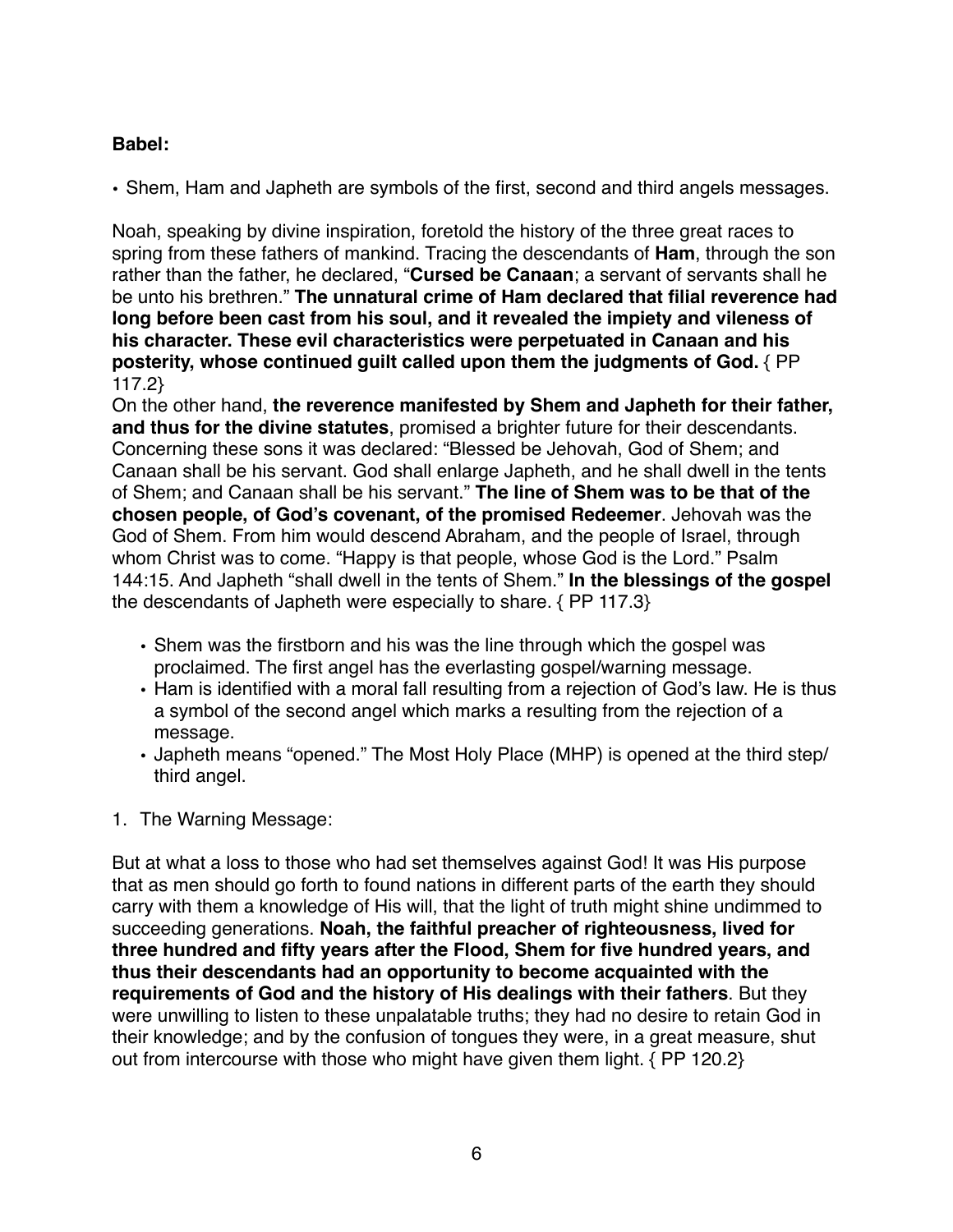# **Babel:**

• Shem, Ham and Japheth are symbols of the first, second and third angels messages.

Noah, speaking by divine inspiration, foretold the history of the three great races to spring from these fathers of mankind. Tracing the descendants of **Ham**, through the son rather than the father, he declared, "**Cursed be Canaan**; a servant of servants shall he be unto his brethren." **The unnatural crime of Ham declared that filial reverence had long before been cast from his soul, and it revealed the impiety and vileness of his character. These evil characteristics were perpetuated in Canaan and his posterity, whose continued guilt called upon them the judgments of God.** { PP 117.2}

On the other hand, **the reverence manifested by Shem and Japheth for their father, and thus for the divine statutes**, promised a brighter future for their descendants. Concerning these sons it was declared: "Blessed be Jehovah, God of Shem; and Canaan shall be his servant. God shall enlarge Japheth, and he shall dwell in the tents of Shem; and Canaan shall be his servant." **The line of Shem was to be that of the chosen people, of God's covenant, of the promised Redeemer**. Jehovah was the God of Shem. From him would descend Abraham, and the people of Israel, through whom Christ was to come. "Happy is that people, whose God is the Lord." Psalm 144:15. And Japheth "shall dwell in the tents of Shem." **In the blessings of the gospel** the descendants of Japheth were especially to share. { PP 117.3}

- Shem was the firstborn and his was the line through which the gospel was proclaimed. The first angel has the everlasting gospel/warning message.
- Ham is identified with a moral fall resulting from a rejection of God's law. He is thus a symbol of the second angel which marks a resulting from the rejection of a message.
- Japheth means "opened." The Most Holy Place (MHP) is opened at the third step/ third angel.
- 1. The Warning Message:

But at what a loss to those who had set themselves against God! It was His purpose that as men should go forth to found nations in different parts of the earth they should carry with them a knowledge of His will, that the light of truth might shine undimmed to succeeding generations. **Noah, the faithful preacher of righteousness, lived for three hundred and fifty years after the Flood, Shem for five hundred years, and thus their descendants had an opportunity to become acquainted with the requirements of God and the history of His dealings with their fathers**. But they were unwilling to listen to these unpalatable truths; they had no desire to retain God in their knowledge; and by the confusion of tongues they were, in a great measure, shut out from intercourse with those who might have given them light. { PP 120.2}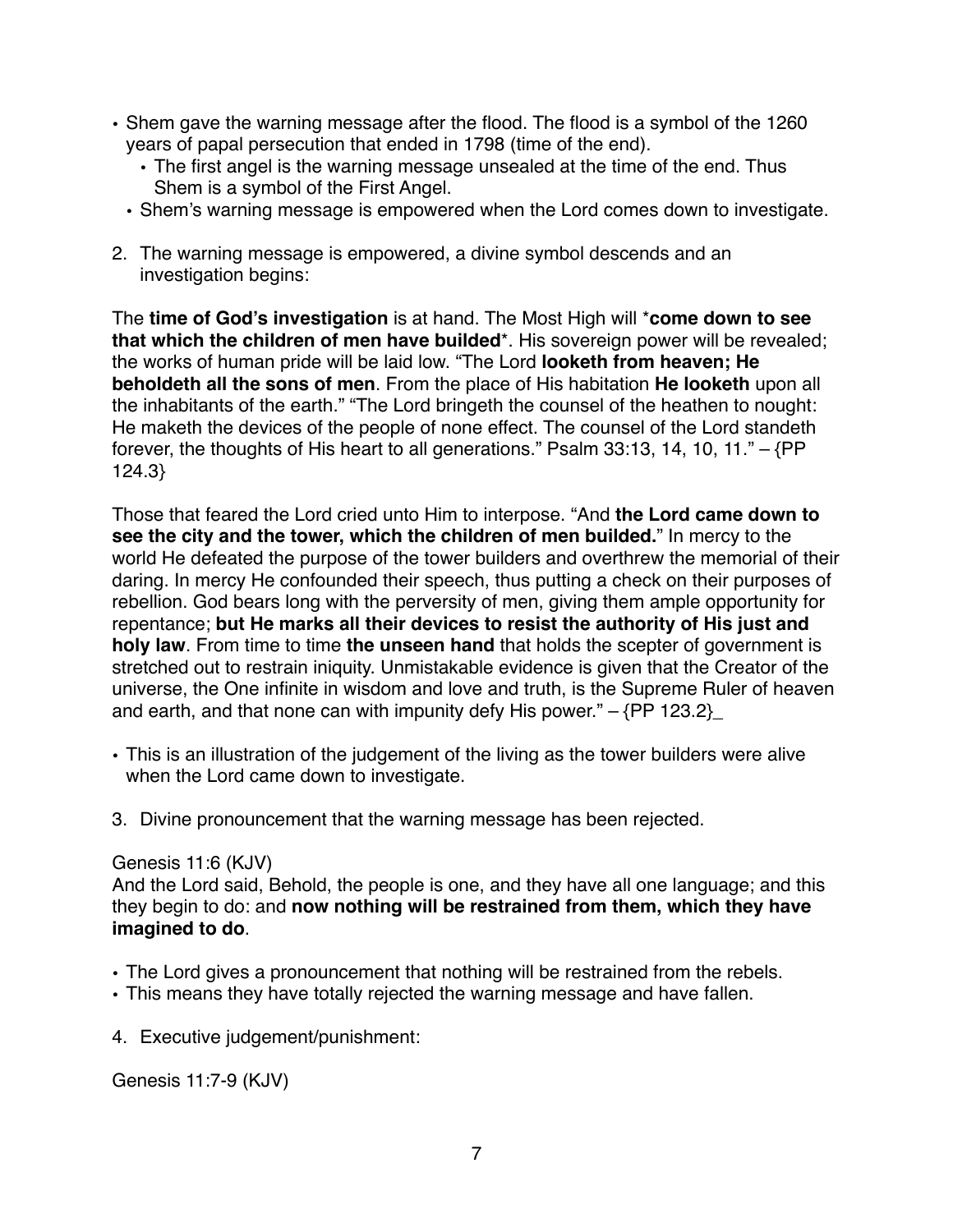- Shem gave the warning message after the flood. The flood is a symbol of the 1260 years of papal persecution that ended in 1798 (time of the end).
	- The first angel is the warning message unsealed at the time of the end. Thus Shem is a symbol of the First Angel.
	- Shem's warning message is empowered when the Lord comes down to investigate.
- 2. The warning message is empowered, a divine symbol descends and an investigation begins:

The **time of God's investigation** is at hand. The Most High will \***come down to see that which the children of men have builded**\*. His sovereign power will be revealed; the works of human pride will be laid low. "The Lord **looketh from heaven; He beholdeth all the sons of men**. From the place of His habitation **He looketh** upon all the inhabitants of the earth." "The Lord bringeth the counsel of the heathen to nought: He maketh the devices of the people of none effect. The counsel of the Lord standeth forever, the thoughts of His heart to all generations." Psalm 33:13, 14, 10, 11." – {PP 124.3}

Those that feared the Lord cried unto Him to interpose. "And **the Lord came down to see the city and the tower, which the children of men builded.**" In mercy to the world He defeated the purpose of the tower builders and overthrew the memorial of their daring. In mercy He confounded their speech, thus putting a check on their purposes of rebellion. God bears long with the perversity of men, giving them ample opportunity for repentance; **but He marks all their devices to resist the authority of His just and holy law**. From time to time **the unseen hand** that holds the scepter of government is stretched out to restrain iniquity. Unmistakable evidence is given that the Creator of the universe, the One infinite in wisdom and love and truth, is the Supreme Ruler of heaven and earth, and that none can with impunity defy His power."  $-$  {PP 123.2}

- This is an illustration of the judgement of the living as the tower builders were alive when the Lord came down to investigate.
- 3. Divine pronouncement that the warning message has been rejected.

#### Genesis 11:6 (KJV)

And the Lord said, Behold, the people is one, and they have all one language; and this they begin to do: and **now nothing will be restrained from them, which they have imagined to do**.

- The Lord gives a pronouncement that nothing will be restrained from the rebels.
- This means they have totally rejected the warning message and have fallen.
- 4. Executive judgement/punishment:

Genesis 11:7-9 (KJV)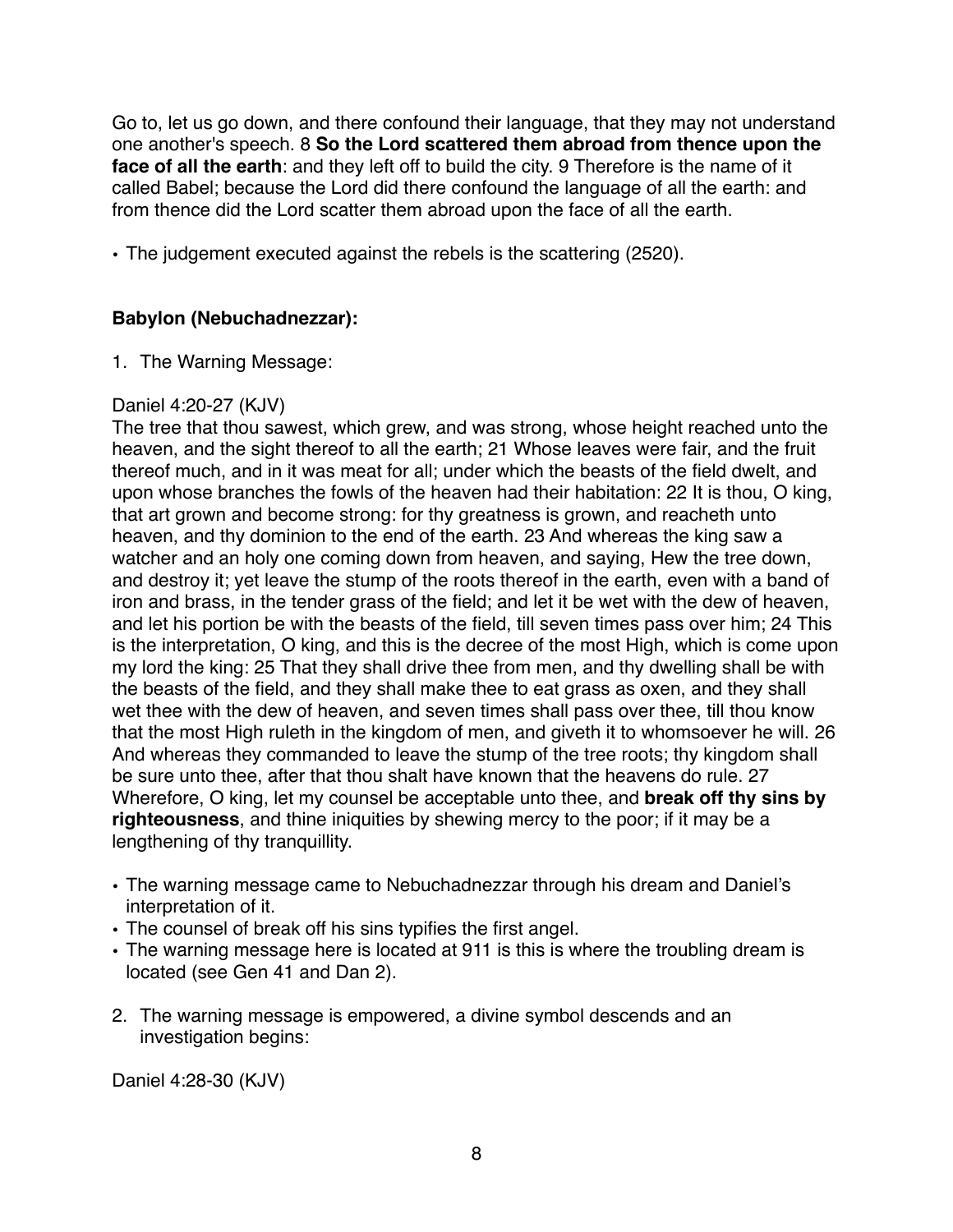Go to, let us go down, and there confound their language, that they may not understand one another's speech. 8 **So the Lord scattered them abroad from thence upon the face of all the earth**: and they left off to build the city. 9 Therefore is the name of it called Babel; because the Lord did there confound the language of all the earth: and from thence did the Lord scatter them abroad upon the face of all the earth.

• The judgement executed against the rebels is the scattering (2520).

## **Babylon (Nebuchadnezzar):**

1. The Warning Message:

## Daniel 4:20-27 (KJV)

The tree that thou sawest, which grew, and was strong, whose height reached unto the heaven, and the sight thereof to all the earth; 21 Whose leaves were fair, and the fruit thereof much, and in it was meat for all; under which the beasts of the field dwelt, and upon whose branches the fowls of the heaven had their habitation: 22 It is thou, O king, that art grown and become strong: for thy greatness is grown, and reacheth unto heaven, and thy dominion to the end of the earth. 23 And whereas the king saw a watcher and an holy one coming down from heaven, and saying, Hew the tree down, and destroy it; yet leave the stump of the roots thereof in the earth, even with a band of iron and brass, in the tender grass of the field; and let it be wet with the dew of heaven, and let his portion be with the beasts of the field, till seven times pass over him; 24 This is the interpretation, O king, and this is the decree of the most High, which is come upon my lord the king: 25 That they shall drive thee from men, and thy dwelling shall be with the beasts of the field, and they shall make thee to eat grass as oxen, and they shall wet thee with the dew of heaven, and seven times shall pass over thee, till thou know that the most High ruleth in the kingdom of men, and giveth it to whomsoever he will. 26 And whereas they commanded to leave the stump of the tree roots; thy kingdom shall be sure unto thee, after that thou shalt have known that the heavens do rule. 27 Wherefore, O king, let my counsel be acceptable unto thee, and **break off thy sins by righteousness**, and thine iniquities by shewing mercy to the poor; if it may be a lengthening of thy tranquillity.

- The warning message came to Nebuchadnezzar through his dream and Daniel's interpretation of it.
- The counsel of break off his sins typifies the first angel.
- The warning message here is located at 911 is this is where the troubling dream is located (see Gen 41 and Dan 2).
- 2. The warning message is empowered, a divine symbol descends and an investigation begins:

Daniel 4:28-30 (KJV)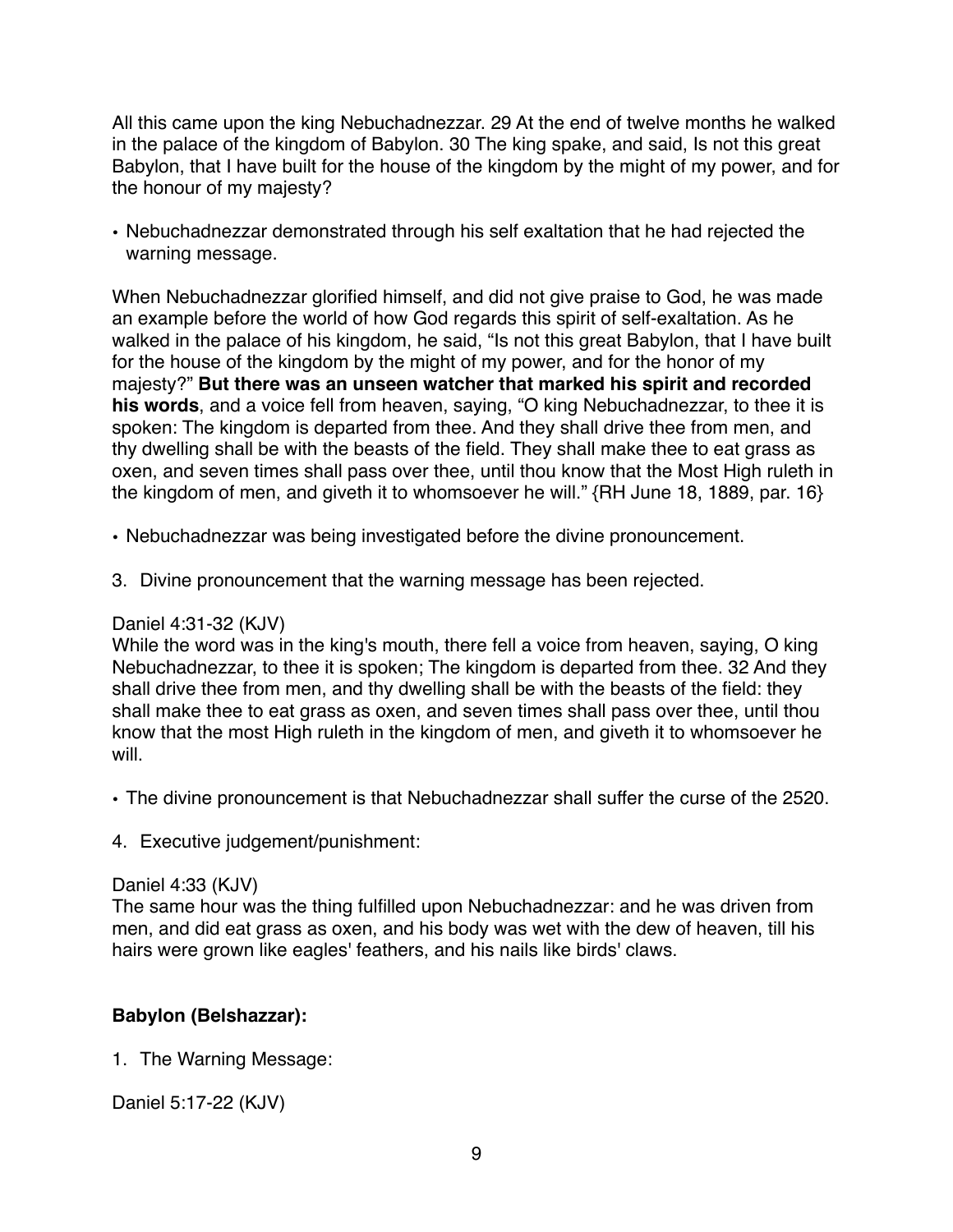All this came upon the king Nebuchadnezzar. 29 At the end of twelve months he walked in the palace of the kingdom of Babylon. 30 The king spake, and said, Is not this great Babylon, that I have built for the house of the kingdom by the might of my power, and for the honour of my majesty?

• Nebuchadnezzar demonstrated through his self exaltation that he had rejected the warning message.

When Nebuchadnezzar glorified himself, and did not give praise to God, he was made an example before the world of how God regards this spirit of self-exaltation. As he walked in the palace of his kingdom, he said, "Is not this great Babylon, that I have built for the house of the kingdom by the might of my power, and for the honor of my majesty?" **But there was an unseen watcher that marked his spirit and recorded his words**, and a voice fell from heaven, saying, "O king Nebuchadnezzar, to thee it is spoken: The kingdom is departed from thee. And they shall drive thee from men, and thy dwelling shall be with the beasts of the field. They shall make thee to eat grass as oxen, and seven times shall pass over thee, until thou know that the Most High ruleth in the kingdom of men, and giveth it to whomsoever he will." {RH June 18, 1889, par. 16}

- Nebuchadnezzar was being investigated before the divine pronouncement.
- 3. Divine pronouncement that the warning message has been rejected.

#### Daniel 4:31-32 (KJV)

While the word was in the king's mouth, there fell a voice from heaven, saying, O king Nebuchadnezzar, to thee it is spoken; The kingdom is departed from thee. 32 And they shall drive thee from men, and thy dwelling shall be with the beasts of the field: they shall make thee to eat grass as oxen, and seven times shall pass over thee, until thou know that the most High ruleth in the kingdom of men, and giveth it to whomsoever he will.

- The divine pronouncement is that Nebuchadnezzar shall suffer the curse of the 2520.
- 4. Executive judgement/punishment:

#### Daniel 4:33 (KJV)

The same hour was the thing fulfilled upon Nebuchadnezzar: and he was driven from men, and did eat grass as oxen, and his body was wet with the dew of heaven, till his hairs were grown like eagles' feathers, and his nails like birds' claws.

## **Babylon (Belshazzar):**

1. The Warning Message:

Daniel 5:17-22 (KJV)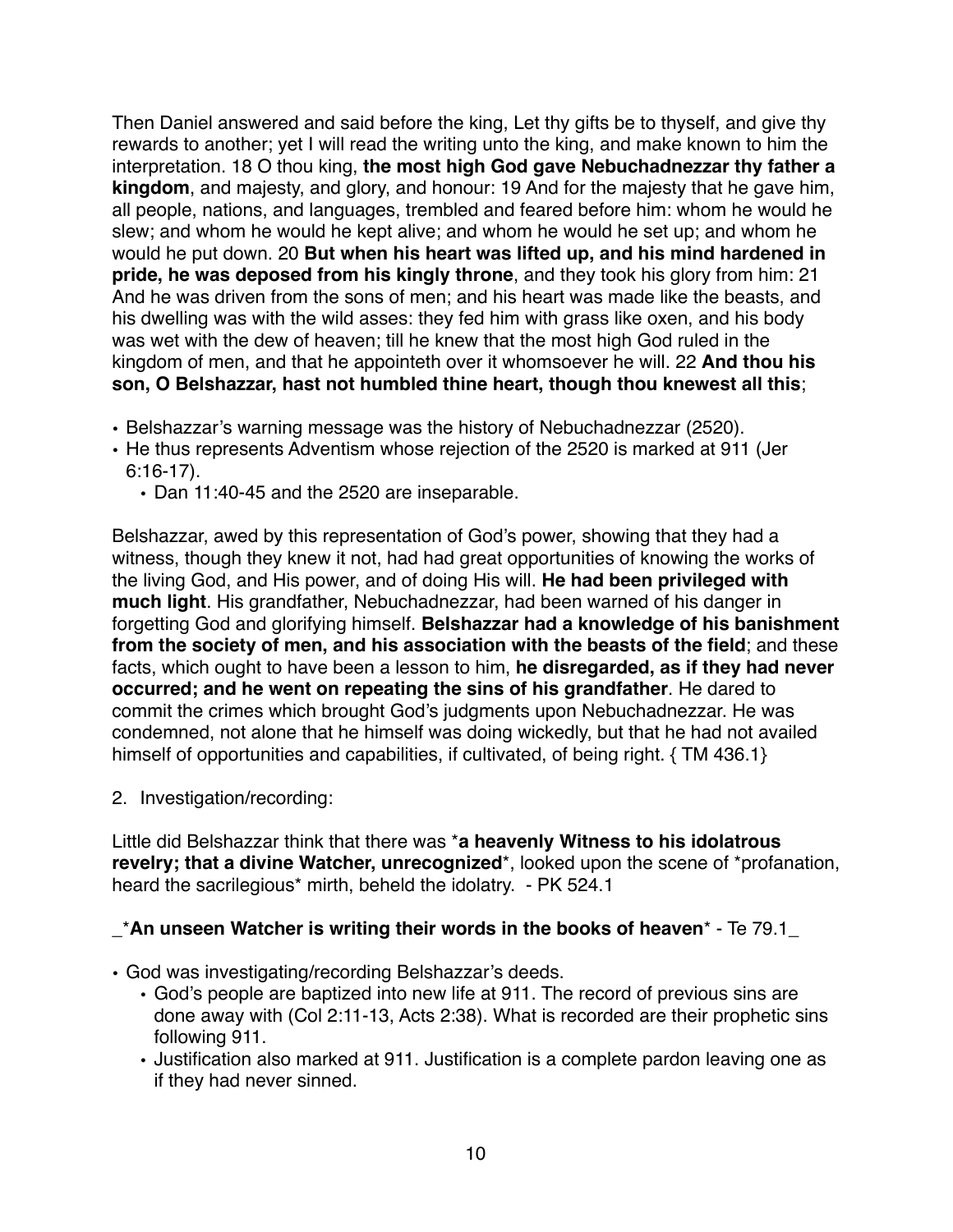Then Daniel answered and said before the king, Let thy gifts be to thyself, and give thy rewards to another; yet I will read the writing unto the king, and make known to him the interpretation. 18 O thou king, **the most high God gave Nebuchadnezzar thy father a kingdom**, and majesty, and glory, and honour: 19 And for the majesty that he gave him, all people, nations, and languages, trembled and feared before him: whom he would he slew; and whom he would he kept alive; and whom he would he set up; and whom he would he put down. 20 **But when his heart was lifted up, and his mind hardened in pride, he was deposed from his kingly throne**, and they took his glory from him: 21 And he was driven from the sons of men; and his heart was made like the beasts, and his dwelling was with the wild asses: they fed him with grass like oxen, and his body was wet with the dew of heaven; till he knew that the most high God ruled in the kingdom of men, and that he appointeth over it whomsoever he will. 22 **And thou his son, O Belshazzar, hast not humbled thine heart, though thou knewest all this**;

- Belshazzar's warning message was the history of Nebuchadnezzar (2520).
- He thus represents Adventism whose rejection of the 2520 is marked at 911 (Jer 6:16-17).
	- Dan 11:40-45 and the 2520 are inseparable.

Belshazzar, awed by this representation of God's power, showing that they had a witness, though they knew it not, had had great opportunities of knowing the works of the living God, and His power, and of doing His will. **He had been privileged with much light**. His grandfather, Nebuchadnezzar, had been warned of his danger in forgetting God and glorifying himself. **Belshazzar had a knowledge of his banishment from the society of men, and his association with the beasts of the field**; and these facts, which ought to have been a lesson to him, **he disregarded, as if they had never occurred; and he went on repeating the sins of his grandfather**. He dared to commit the crimes which brought God's judgments upon Nebuchadnezzar. He was condemned, not alone that he himself was doing wickedly, but that he had not availed himself of opportunities and capabilities, if cultivated, of being right, {TM 436.1}

2. Investigation/recording:

Little did Belshazzar think that there was \***a heavenly Witness to his idolatrous revelry; that a divine Watcher, unrecognized**\*, looked upon the scene of \*profanation, heard the sacrilegious<sup>\*</sup> mirth, beheld the idolatry. - PK 524.1

## \_\***An unseen Watcher is writing their words in the books of heaven**\* - Te 79.1\_

- God was investigating/recording Belshazzar's deeds.
	- God's people are baptized into new life at 911. The record of previous sins are done away with (Col 2:11-13, Acts 2:38). What is recorded are their prophetic sins following 911.
	- Justification also marked at 911. Justification is a complete pardon leaving one as if they had never sinned.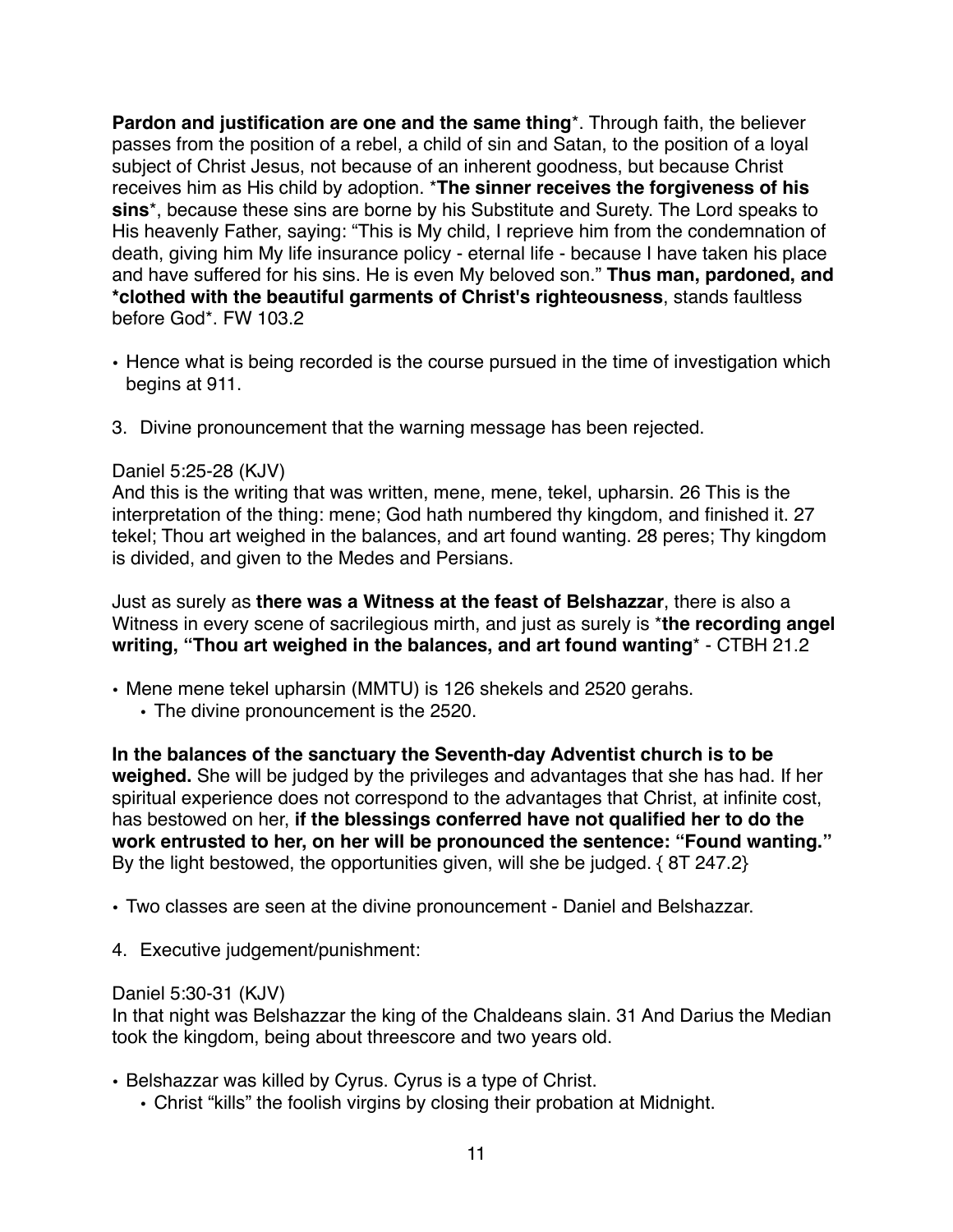**Pardon and justification are one and the same thing**\*. Through faith, the believer passes from the position of a rebel, a child of sin and Satan, to the position of a loyal subject of Christ Jesus, not because of an inherent goodness, but because Christ receives him as His child by adoption. \***The sinner receives the forgiveness of his sins**\*, because these sins are borne by his Substitute and Surety. The Lord speaks to His heavenly Father, saying: "This is My child, I reprieve him from the condemnation of death, giving him My life insurance policy - eternal life - because I have taken his place and have suffered for his sins. He is even My beloved son." **Thus man, pardoned, and \*clothed with the beautiful garments of Christ's righteousness**, stands faultless before God\*. FW 103.2

- Hence what is being recorded is the course pursued in the time of investigation which begins at 911.
- 3. Divine pronouncement that the warning message has been rejected.

#### Daniel 5:25-28 (KJV)

And this is the writing that was written, mene, mene, tekel, upharsin. 26 This is the interpretation of the thing: mene; God hath numbered thy kingdom, and finished it. 27 tekel; Thou art weighed in the balances, and art found wanting. 28 peres; Thy kingdom is divided, and given to the Medes and Persians.

Just as surely as **there was a Witness at the feast of Belshazzar**, there is also a Witness in every scene of sacrilegious mirth, and just as surely is \***the recording angel writing, "Thou art weighed in the balances, and art found wanting**\* - CTBH 21.2

- Mene mene tekel upharsin (MMTU) is 126 shekels and 2520 gerahs.
	- The divine pronouncement is the 2520.

**In the balances of the sanctuary the Seventh-day Adventist church is to be weighed.** She will be judged by the privileges and advantages that she has had. If her spiritual experience does not correspond to the advantages that Christ, at infinite cost, has bestowed on her, **if the blessings conferred have not qualified her to do the work entrusted to her, on her will be pronounced the sentence: "Found wanting."** By the light bestowed, the opportunities given, will she be judged. { 8T 247.2}

• Two classes are seen at the divine pronouncement - Daniel and Belshazzar.

4. Executive judgement/punishment:

#### Daniel 5:30-31 (KJV)

In that night was Belshazzar the king of the Chaldeans slain. 31 And Darius the Median took the kingdom, being about threescore and two years old.

- Belshazzar was killed by Cyrus. Cyrus is a type of Christ.
	- Christ "kills" the foolish virgins by closing their probation at Midnight.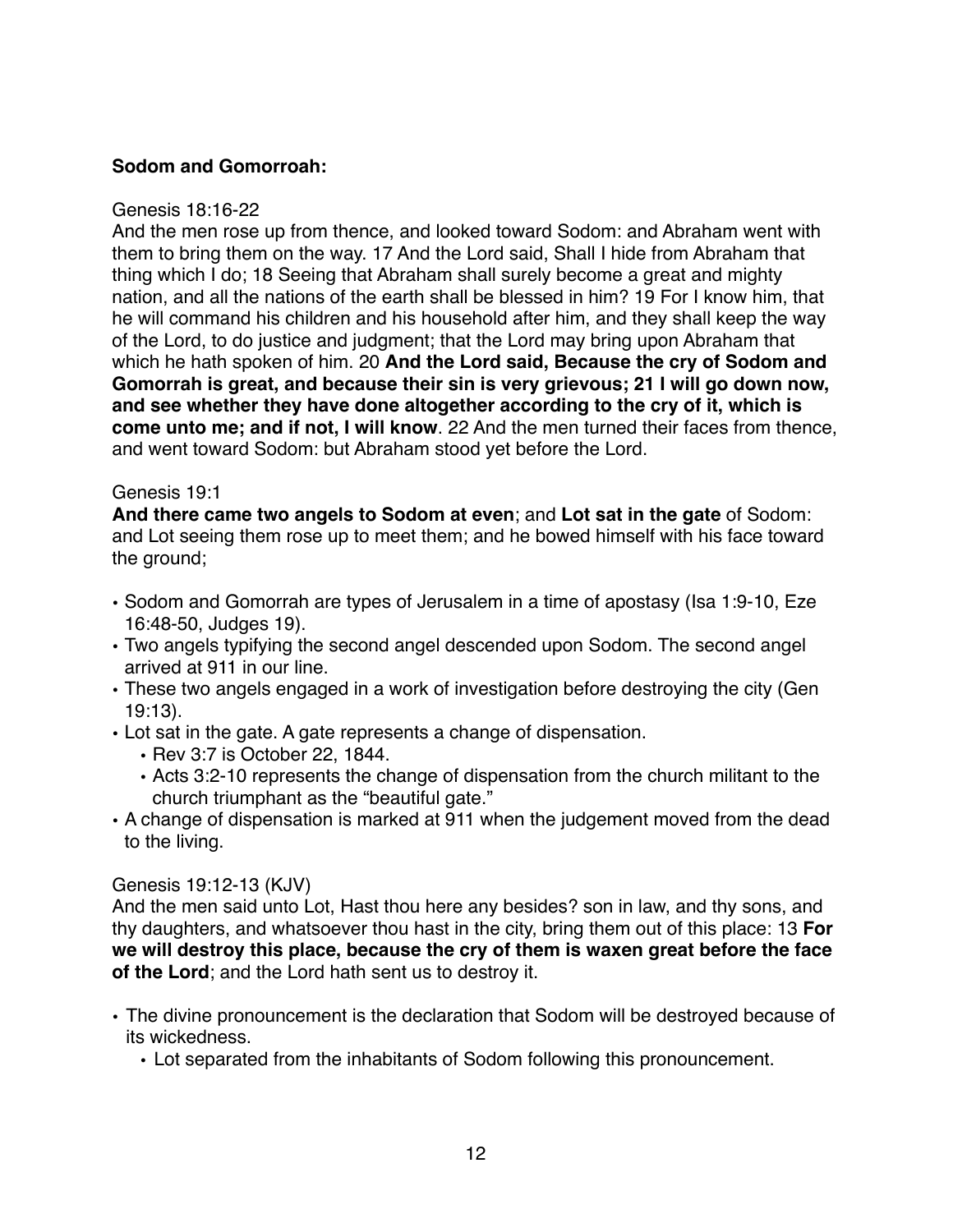## **Sodom and Gomorroah:**

#### Genesis 18:16-22

And the men rose up from thence, and looked toward Sodom: and Abraham went with them to bring them on the way. 17 And the Lord said, Shall I hide from Abraham that thing which I do; 18 Seeing that Abraham shall surely become a great and mighty nation, and all the nations of the earth shall be blessed in him? 19 For I know him, that he will command his children and his household after him, and they shall keep the way of the Lord, to do justice and judgment; that the Lord may bring upon Abraham that which he hath spoken of him. 20 **And the Lord said, Because the cry of Sodom and Gomorrah is great, and because their sin is very grievous; 21 I will go down now, and see whether they have done altogether according to the cry of it, which is come unto me; and if not, I will know**. 22 And the men turned their faces from thence, and went toward Sodom: but Abraham stood yet before the Lord.

#### Genesis 19:1

**And there came two angels to Sodom at even**; and **Lot sat in the gate** of Sodom: and Lot seeing them rose up to meet them; and he bowed himself with his face toward the ground;

- Sodom and Gomorrah are types of Jerusalem in a time of apostasy (Isa 1:9-10, Eze 16:48-50, Judges 19).
- Two angels typifying the second angel descended upon Sodom. The second angel arrived at 911 in our line.
- These two angels engaged in a work of investigation before destroying the city (Gen 19:13).
- Lot sat in the gate. A gate represents a change of dispensation.
	- Rev 3:7 is October 22, 1844.
	- Acts 3:2-10 represents the change of dispensation from the church militant to the church triumphant as the "beautiful gate."
- A change of dispensation is marked at 911 when the judgement moved from the dead to the living.

#### Genesis 19:12-13 (KJV)

And the men said unto Lot, Hast thou here any besides? son in law, and thy sons, and thy daughters, and whatsoever thou hast in the city, bring them out of this place: 13 **For we will destroy this place, because the cry of them is waxen great before the face of the Lord**; and the Lord hath sent us to destroy it.

- The divine pronouncement is the declaration that Sodom will be destroyed because of its wickedness.
	- Lot separated from the inhabitants of Sodom following this pronouncement.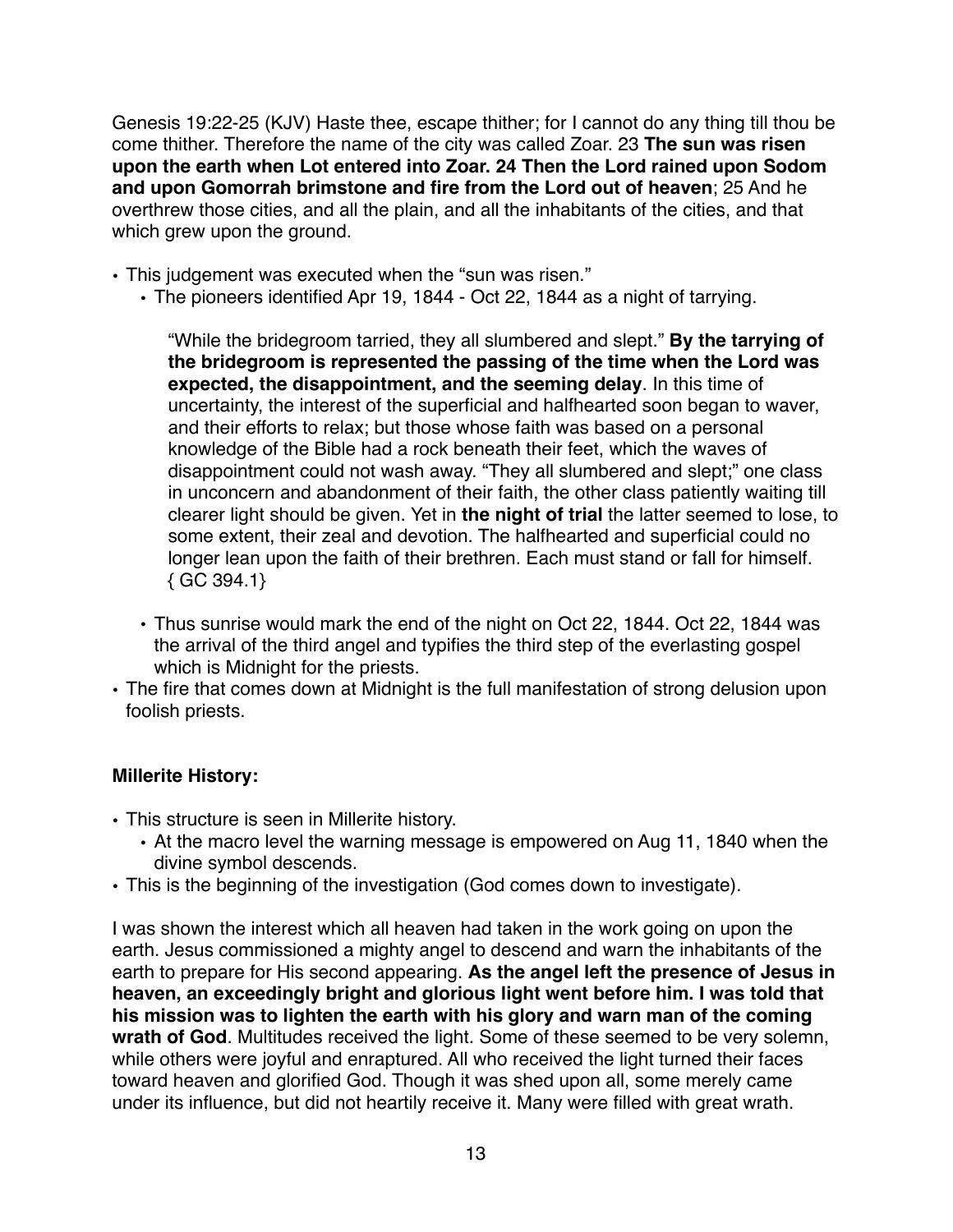Genesis 19:22-25 (KJV) Haste thee, escape thither; for I cannot do any thing till thou be come thither. Therefore the name of the city was called Zoar. 23 **The sun was risen upon the earth when Lot entered into Zoar. 24 Then the Lord rained upon Sodom and upon Gomorrah brimstone and fire from the Lord out of heaven**; 25 And he overthrew those cities, and all the plain, and all the inhabitants of the cities, and that which grew upon the ground.

- This judgement was executed when the "sun was risen."
	- The pioneers identified Apr 19, 1844 Oct 22, 1844 as a night of tarrying.

"While the bridegroom tarried, they all slumbered and slept." **By the tarrying of the bridegroom is represented the passing of the time when the Lord was expected, the disappointment, and the seeming delay**. In this time of uncertainty, the interest of the superficial and halfhearted soon began to waver, and their efforts to relax; but those whose faith was based on a personal knowledge of the Bible had a rock beneath their feet, which the waves of disappointment could not wash away. "They all slumbered and slept;" one class in unconcern and abandonment of their faith, the other class patiently waiting till clearer light should be given. Yet in **the night of trial** the latter seemed to lose, to some extent, their zeal and devotion. The halfhearted and superficial could no longer lean upon the faith of their brethren. Each must stand or fall for himself.  ${GC 394.1}$ 

- Thus sunrise would mark the end of the night on Oct 22, 1844. Oct 22, 1844 was the arrival of the third angel and typifies the third step of the everlasting gospel which is Midnight for the priests.
- The fire that comes down at Midnight is the full manifestation of strong delusion upon foolish priests.

# **Millerite History:**

- This structure is seen in Millerite history.
	- At the macro level the warning message is empowered on Aug 11, 1840 when the divine symbol descends.
- This is the beginning of the investigation (God comes down to investigate).

I was shown the interest which all heaven had taken in the work going on upon the earth. Jesus commissioned a mighty angel to descend and warn the inhabitants of the earth to prepare for His second appearing. **As the angel left the presence of Jesus in heaven, an exceedingly bright and glorious light went before him. I was told that his mission was to lighten the earth with his glory and warn man of the coming wrath of God**. Multitudes received the light. Some of these seemed to be very solemn, while others were joyful and enraptured. All who received the light turned their faces toward heaven and glorified God. Though it was shed upon all, some merely came under its influence, but did not heartily receive it. Many were filled with great wrath.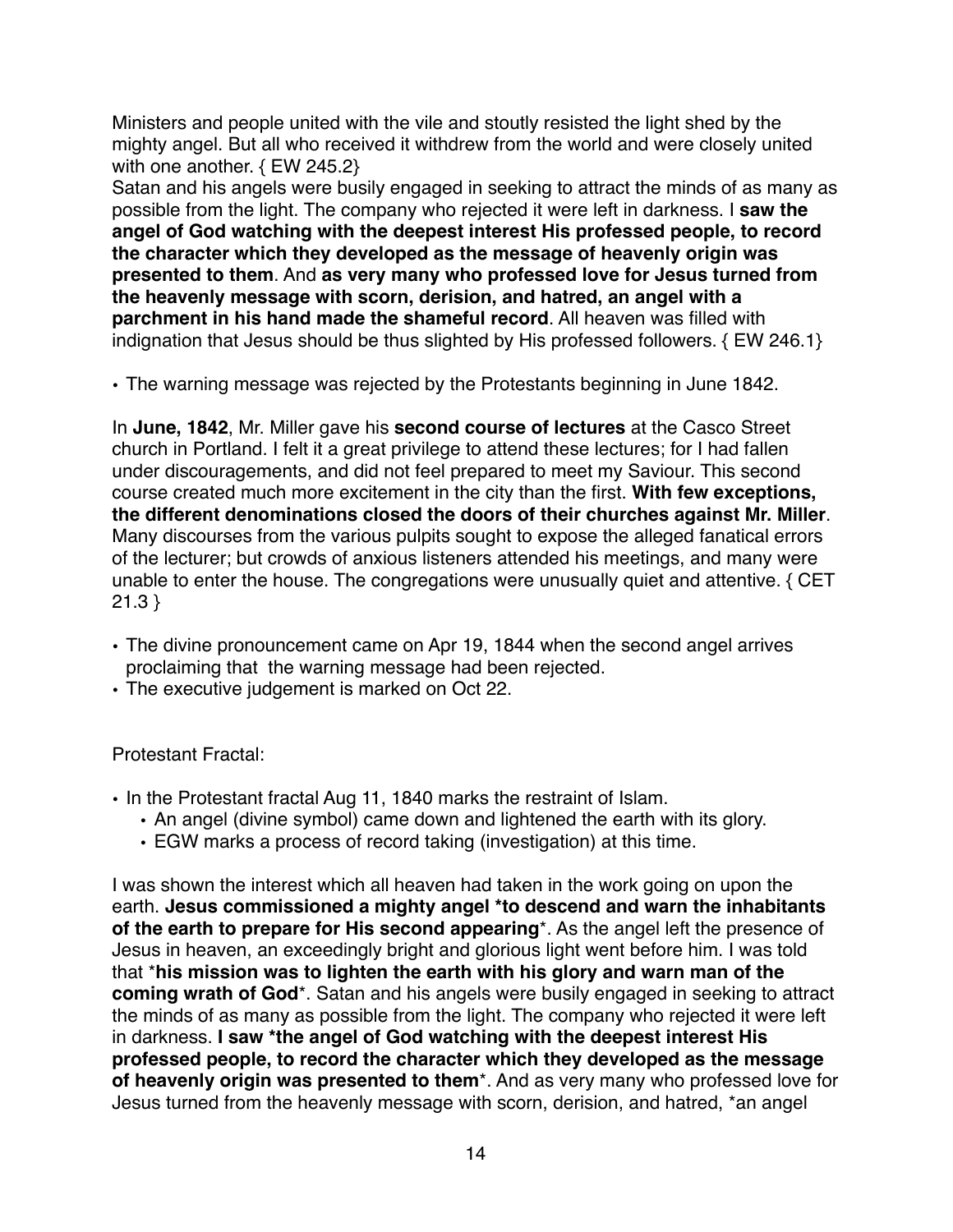Ministers and people united with the vile and stoutly resisted the light shed by the mighty angel. But all who received it withdrew from the world and were closely united with one another. { EW 245.2}

Satan and his angels were busily engaged in seeking to attract the minds of as many as possible from the light. The company who rejected it were left in darkness. I **saw the angel of God watching with the deepest interest His professed people, to record the character which they developed as the message of heavenly origin was presented to them**. And **as very many who professed love for Jesus turned from the heavenly message with scorn, derision, and hatred, an angel with a parchment in his hand made the shameful record**. All heaven was filled with indignation that Jesus should be thus slighted by His professed followers. { EW 246.1}

• The warning message was rejected by the Protestants beginning in June 1842.

In **June, 1842**, Mr. Miller gave his **second course of lectures** at the Casco Street church in Portland. I felt it a great privilege to attend these lectures; for I had fallen under discouragements, and did not feel prepared to meet my Saviour. This second course created much more excitement in the city than the first. **With few exceptions, the different denominations closed the doors of their churches against Mr. Miller**. Many discourses from the various pulpits sought to expose the alleged fanatical errors of the lecturer; but crowds of anxious listeners attended his meetings, and many were unable to enter the house. The congregations were unusually quiet and attentive. { CET 21.3 }

- The divine pronouncement came on Apr 19, 1844 when the second angel arrives proclaiming that the warning message had been rejected.
- The executive judgement is marked on Oct 22.

## Protestant Fractal:

- In the Protestant fractal Aug 11, 1840 marks the restraint of Islam.
	- An angel (divine symbol) came down and lightened the earth with its glory.
	- EGW marks a process of record taking (investigation) at this time.

I was shown the interest which all heaven had taken in the work going on upon the earth. **Jesus commissioned a mighty angel \*to descend and warn the inhabitants of the earth to prepare for His second appearing**\*. As the angel left the presence of Jesus in heaven, an exceedingly bright and glorious light went before him. I was told that \***his mission was to lighten the earth with his glory and warn man of the coming wrath of God**\*. Satan and his angels were busily engaged in seeking to attract the minds of as many as possible from the light. The company who rejected it were left in darkness. **I saw \*the angel of God watching with the deepest interest His professed people, to record the character which they developed as the message of heavenly origin was presented to them**\*. And as very many who professed love for Jesus turned from the heavenly message with scorn, derision, and hatred, \*an angel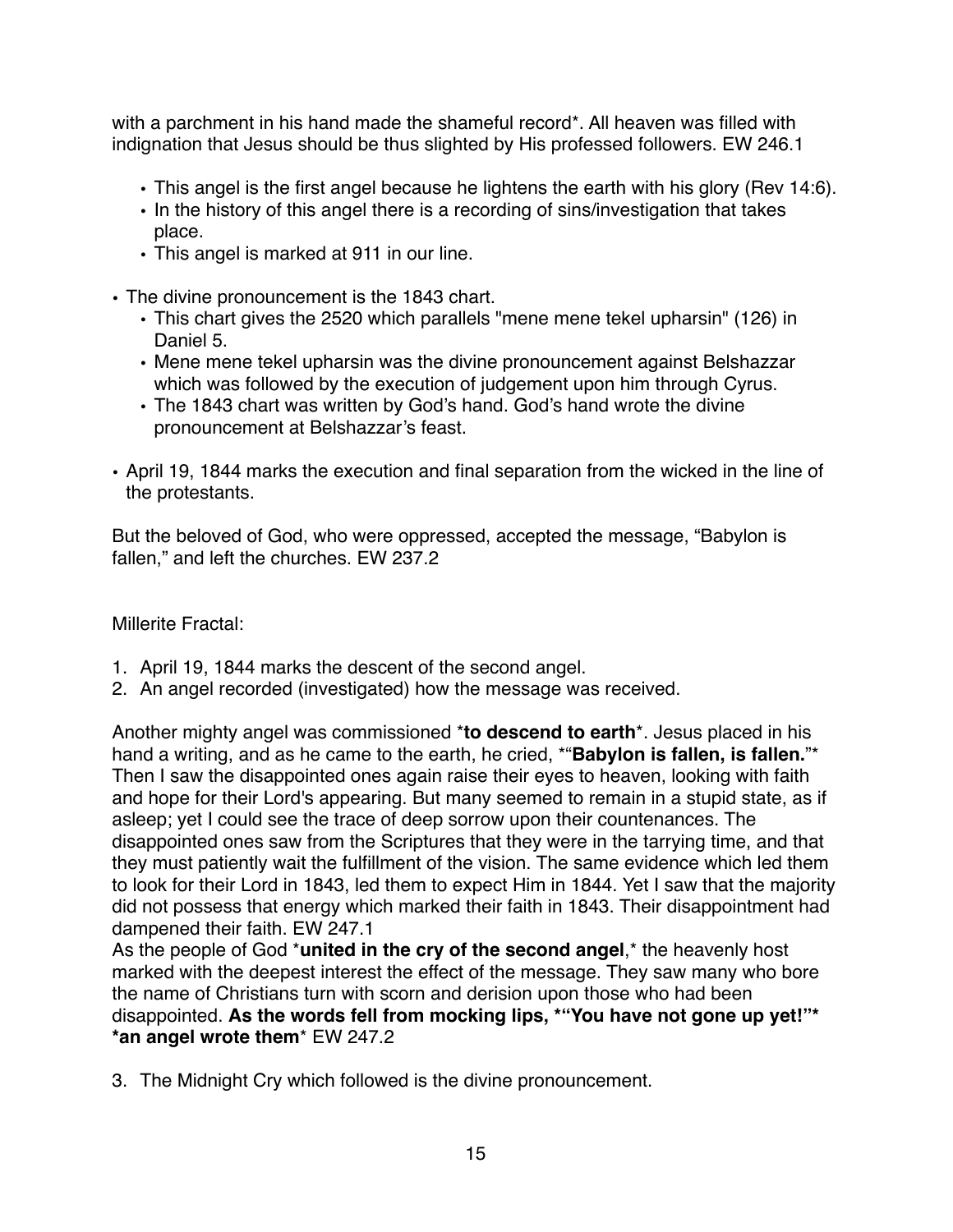with a parchment in his hand made the shameful record\*. All heaven was filled with indignation that Jesus should be thus slighted by His professed followers. EW 246.1

- This angel is the first angel because he lightens the earth with his glory (Rev 14:6).
- In the history of this angel there is a recording of sins/investigation that takes place.
- This angel is marked at 911 in our line.
- The divine pronouncement is the 1843 chart.
	- This chart gives the 2520 which parallels "mene mene tekel upharsin" (126) in Daniel 5.
	- Mene mene tekel upharsin was the divine pronouncement against Belshazzar which was followed by the execution of judgement upon him through Cyrus.
	- The 1843 chart was written by God's hand. God's hand wrote the divine pronouncement at Belshazzar's feast.
- April 19, 1844 marks the execution and final separation from the wicked in the line of the protestants.

But the beloved of God, who were oppressed, accepted the message, "Babylon is fallen," and left the churches. EW 237.2

Millerite Fractal:

- 1. April 19, 1844 marks the descent of the second angel.
- 2. An angel recorded (investigated) how the message was received.

Another mighty angel was commissioned \***to descend to earth**\*. Jesus placed in his hand a writing, and as he came to the earth, he cried, \*"**Babylon is fallen, is fallen.**"\* Then I saw the disappointed ones again raise their eyes to heaven, looking with faith and hope for their Lord's appearing. But many seemed to remain in a stupid state, as if asleep; yet I could see the trace of deep sorrow upon their countenances. The disappointed ones saw from the Scriptures that they were in the tarrying time, and that they must patiently wait the fulfillment of the vision. The same evidence which led them to look for their Lord in 1843, led them to expect Him in 1844. Yet I saw that the majority did not possess that energy which marked their faith in 1843. Their disappointment had dampened their faith. EW 247.1

As the people of God \***united in the cry of the second angel**,\* the heavenly host marked with the deepest interest the effect of the message. They saw many who bore the name of Christians turn with scorn and derision upon those who had been disappointed. **As the words fell from mocking lips, \*"You have not gone up yet!"\* \*an angel wrote them**\* EW 247.2

3. The Midnight Cry which followed is the divine pronouncement.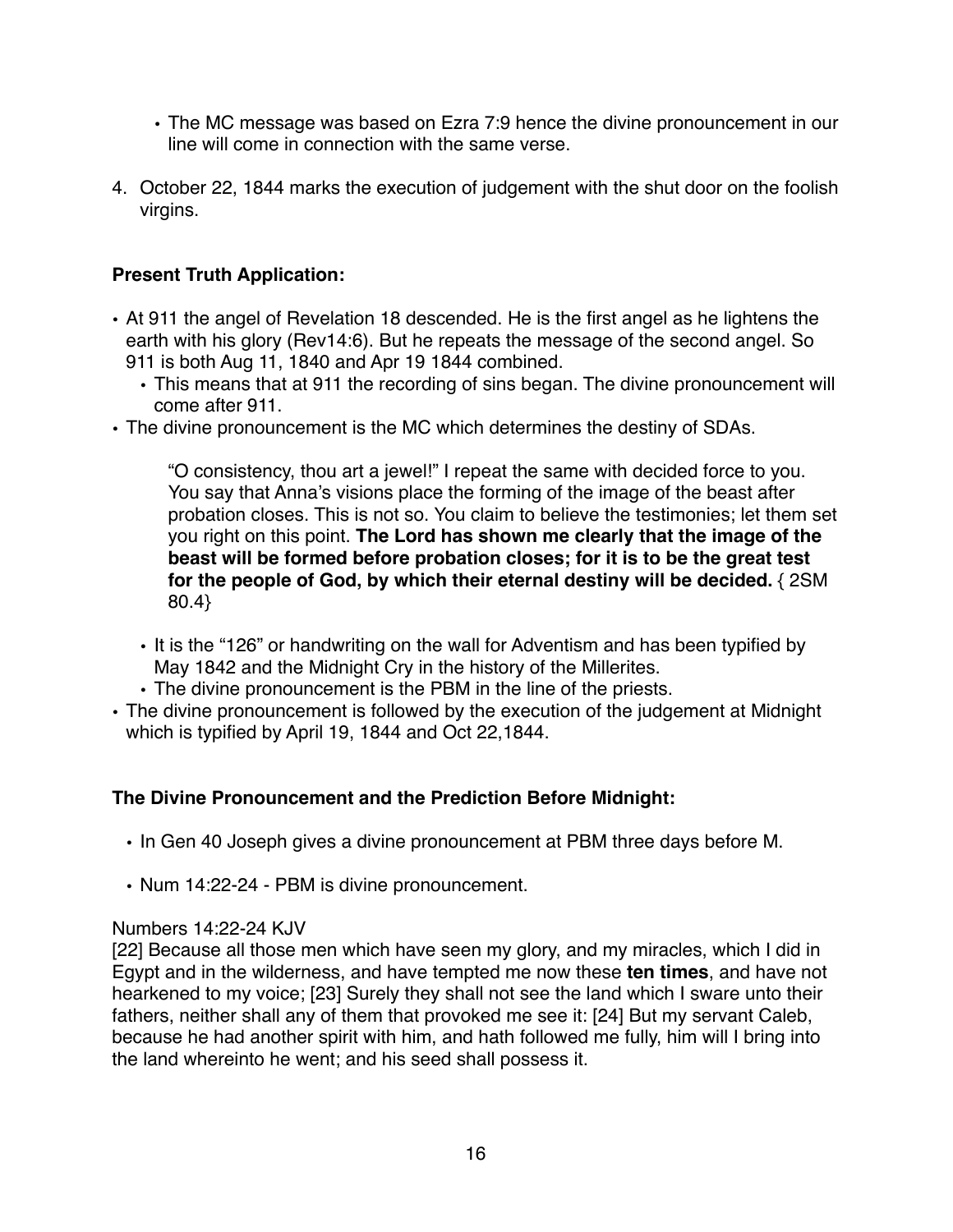- The MC message was based on Ezra 7:9 hence the divine pronouncement in our line will come in connection with the same verse.
- 4. October 22, 1844 marks the execution of judgement with the shut door on the foolish virgins.

# **Present Truth Application:**

- At 911 the angel of Revelation 18 descended. He is the first angel as he lightens the earth with his glory (Rev14:6). But he repeats the message of the second angel. So 911 is both Aug 11, 1840 and Apr 19 1844 combined.
	- This means that at 911 the recording of sins began. The divine pronouncement will come after 911.
- The divine pronouncement is the MC which determines the destiny of SDAs.

"O consistency, thou art a jewel!" I repeat the same with decided force to you. You say that Anna's visions place the forming of the image of the beast after probation closes. This is not so. You claim to believe the testimonies; let them set you right on this point. **The Lord has shown me clearly that the image of the beast will be formed before probation closes; for it is to be the great test for the people of God, by which their eternal destiny will be decided.** { 2SM 80.4}

- It is the "126" or handwriting on the wall for Adventism and has been typified by May 1842 and the Midnight Cry in the history of the Millerites.
- The divine pronouncement is the PBM in the line of the priests.
- The divine pronouncement is followed by the execution of the judgement at Midnight which is typified by April 19, 1844 and Oct 22,1844.

## **The Divine Pronouncement and the Prediction Before Midnight:**

- In Gen 40 Joseph gives a divine pronouncement at PBM three days before M.
- Num 14:22-24 PBM is divine pronouncement.

## Numbers 14:22-24 KJV

[22] Because all those men which have seen my glory, and my miracles, which I did in Egypt and in the wilderness, and have tempted me now these **ten times**, and have not hearkened to my voice; [23] Surely they shall not see the land which I sware unto their fathers, neither shall any of them that provoked me see it: [24] But my servant Caleb, because he had another spirit with him, and hath followed me fully, him will I bring into the land whereinto he went; and his seed shall possess it.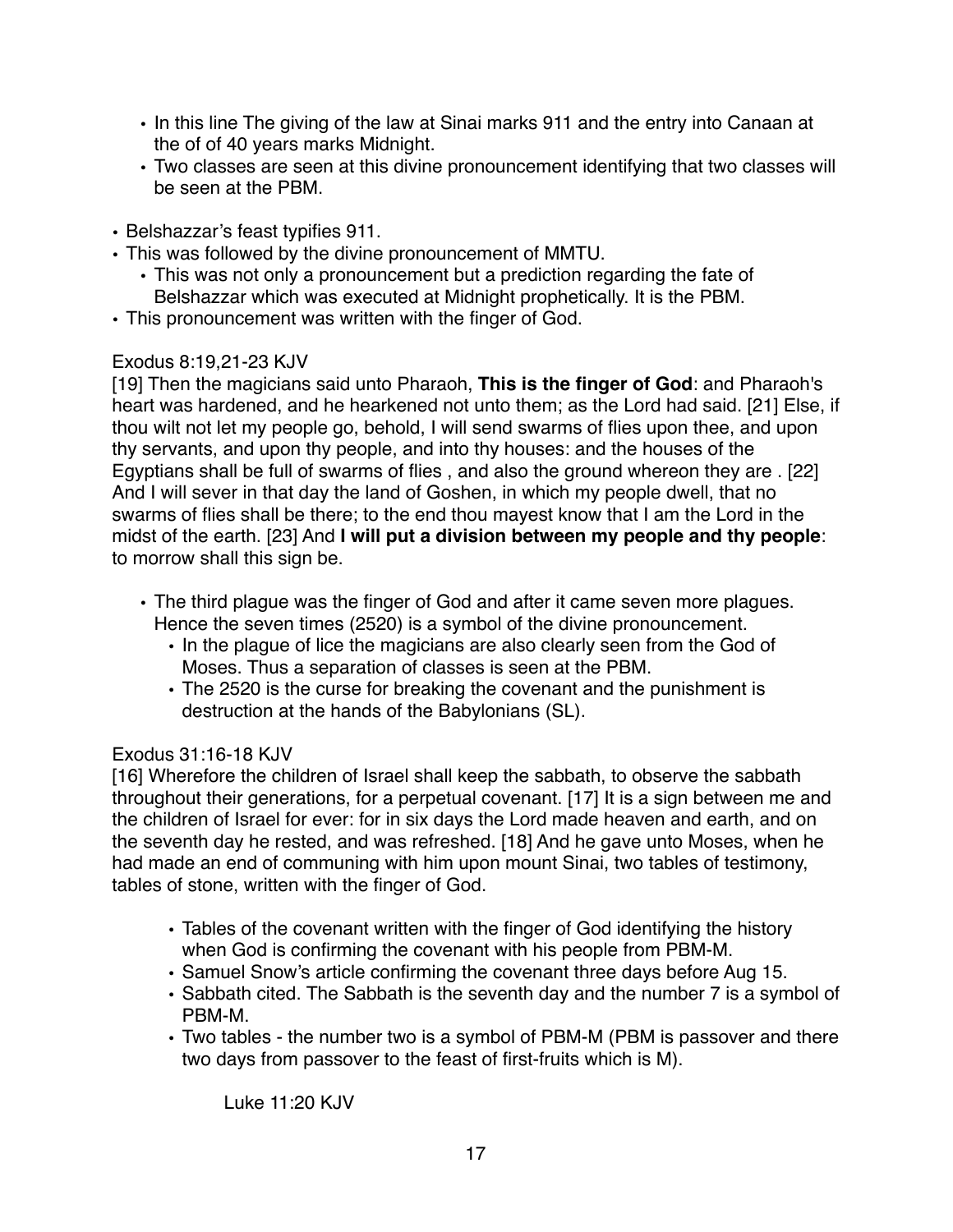- In this line The giving of the law at Sinai marks 911 and the entry into Canaan at the of of 40 years marks Midnight.
- Two classes are seen at this divine pronouncement identifying that two classes will be seen at the PBM.
- Belshazzar's feast typifies 911.
- This was followed by the divine pronouncement of MMTU.
	- This was not only a pronouncement but a prediction regarding the fate of Belshazzar which was executed at Midnight prophetically. It is the PBM.
- This pronouncement was written with the finger of God.

## Exodus 8:19,21-23 KJV

[19] Then the magicians said unto Pharaoh, **This is the finger of God**: and Pharaoh's heart was hardened, and he hearkened not unto them; as the Lord had said. [21] Else, if thou wilt not let my people go, behold, I will send swarms of flies upon thee, and upon thy servants, and upon thy people, and into thy houses: and the houses of the Egyptians shall be full of swarms of flies , and also the ground whereon they are . [22] And I will sever in that day the land of Goshen, in which my people dwell, that no swarms of flies shall be there; to the end thou mayest know that I am the Lord in the midst of the earth. [23] And **I will put a division between my people and thy people**: to morrow shall this sign be.

- The third plague was the finger of God and after it came seven more plagues. Hence the seven times (2520) is a symbol of the divine pronouncement.
	- In the plague of lice the magicians are also clearly seen from the God of Moses. Thus a separation of classes is seen at the PBM.
	- The 2520 is the curse for breaking the covenant and the punishment is destruction at the hands of the Babylonians (SL).

## Exodus 31:16-18 KJV

[16] Wherefore the children of Israel shall keep the sabbath, to observe the sabbath throughout their generations, for a perpetual covenant. [17] It is a sign between me and the children of Israel for ever: for in six days the Lord made heaven and earth, and on the seventh day he rested, and was refreshed. [18] And he gave unto Moses, when he had made an end of communing with him upon mount Sinai, two tables of testimony, tables of stone, written with the finger of God.

- Tables of the covenant written with the finger of God identifying the history when God is confirming the covenant with his people from PBM-M.
- Samuel Snow's article confirming the covenant three days before Aug 15.
- Sabbath cited. The Sabbath is the seventh day and the number 7 is a symbol of PBM-M.
- Two tables the number two is a symbol of PBM-M (PBM is passover and there two days from passover to the feast of first-fruits which is M).

Luke 11:20 KJV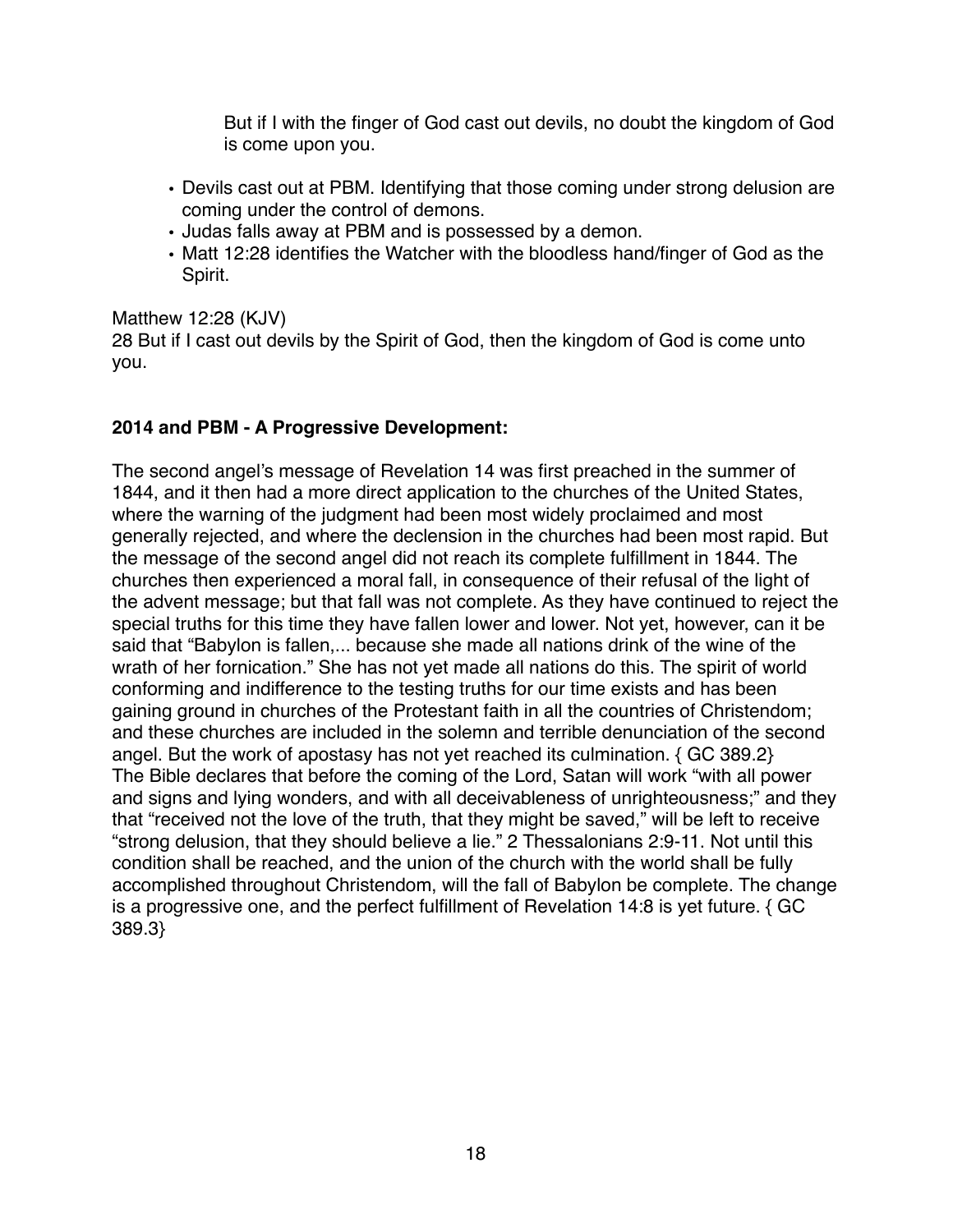But if I with the finger of God cast out devils, no doubt the kingdom of God is come upon you.

- Devils cast out at PBM. Identifying that those coming under strong delusion are coming under the control of demons.
- Judas falls away at PBM and is possessed by a demon.
- Matt 12:28 identifies the Watcher with the bloodless hand/finger of God as the Spirit.

#### Matthew 12:28 (KJV)

28 But if I cast out devils by the Spirit of God, then the kingdom of God is come unto you.

## **2014 and PBM - A Progressive Development:**

The second angel's message of Revelation 14 was first preached in the summer of 1844, and it then had a more direct application to the churches of the United States, where the warning of the judgment had been most widely proclaimed and most generally rejected, and where the declension in the churches had been most rapid. But the message of the second angel did not reach its complete fulfillment in 1844. The churches then experienced a moral fall, in consequence of their refusal of the light of the advent message; but that fall was not complete. As they have continued to reject the special truths for this time they have fallen lower and lower. Not yet, however, can it be said that "Babylon is fallen,... because she made all nations drink of the wine of the wrath of her fornication." She has not yet made all nations do this. The spirit of world conforming and indifference to the testing truths for our time exists and has been gaining ground in churches of the Protestant faith in all the countries of Christendom; and these churches are included in the solemn and terrible denunciation of the second angel. But the work of apostasy has not yet reached its culmination. { GC 389.2} The Bible declares that before the coming of the Lord, Satan will work "with all power and signs and lying wonders, and with all deceivableness of unrighteousness;" and they that "received not the love of the truth, that they might be saved," will be left to receive "strong delusion, that they should believe a lie." 2 Thessalonians 2:9-11. Not until this condition shall be reached, and the union of the church with the world shall be fully accomplished throughout Christendom, will the fall of Babylon be complete. The change is a progressive one, and the perfect fulfillment of Revelation 14:8 is yet future. { GC 389.3}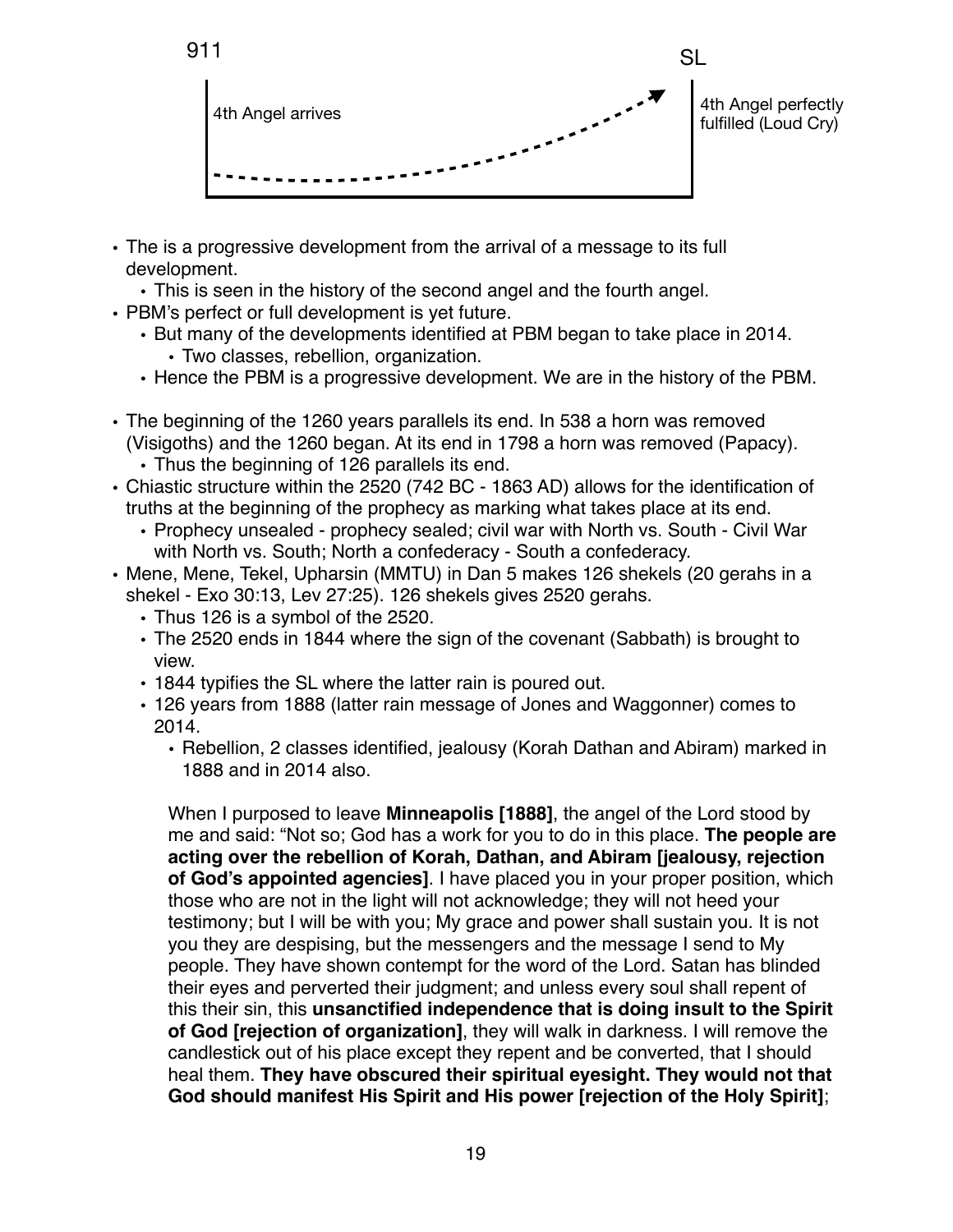

- The is a progressive development from the arrival of a message to its full development.
	- This is seen in the history of the second angel and the fourth angel.
- PBM's perfect or full development is yet future.
	- But many of the developments identified at PBM began to take place in 2014. • Two classes, rebellion, organization.
	- Hence the PBM is a progressive development. We are in the history of the PBM.
- The beginning of the 1260 years parallels its end. In 538 a horn was removed (Visigoths) and the 1260 began. At its end in 1798 a horn was removed (Papacy). • Thus the beginning of 126 parallels its end.
- Chiastic structure within the 2520 (742 BC 1863 AD) allows for the identification of truths at the beginning of the prophecy as marking what takes place at its end.
	- Prophecy unsealed prophecy sealed; civil war with North vs. South Civil War with North vs. South; North a confederacy - South a confederacy.
- Mene, Mene, Tekel, Upharsin (MMTU) in Dan 5 makes 126 shekels (20 gerahs in a shekel - Exo 30:13, Lev 27:25). 126 shekels gives 2520 gerahs.
	- Thus 126 is a symbol of the 2520.
	- The 2520 ends in 1844 where the sign of the covenant (Sabbath) is brought to view.
	- 1844 typifies the SL where the latter rain is poured out.
	- 126 years from 1888 (latter rain message of Jones and Waggonner) comes to 2014.
		- Rebellion, 2 classes identified, jealousy (Korah Dathan and Abiram) marked in 1888 and in 2014 also.

When I purposed to leave **Minneapolis [1888]**, the angel of the Lord stood by me and said: "Not so; God has a work for you to do in this place. **The people are acting over the rebellion of Korah, Dathan, and Abiram [jealousy, rejection of God's appointed agencies]**. I have placed you in your proper position, which those who are not in the light will not acknowledge; they will not heed your testimony; but I will be with you; My grace and power shall sustain you. It is not you they are despising, but the messengers and the message I send to My people. They have shown contempt for the word of the Lord. Satan has blinded their eyes and perverted their judgment; and unless every soul shall repent of this their sin, this **unsanctified independence that is doing insult to the Spirit of God [rejection of organization]**, they will walk in darkness. I will remove the candlestick out of his place except they repent and be converted, that I should heal them. **They have obscured their spiritual eyesight. They would not that God should manifest His Spirit and His power [rejection of the Holy Spirit]**;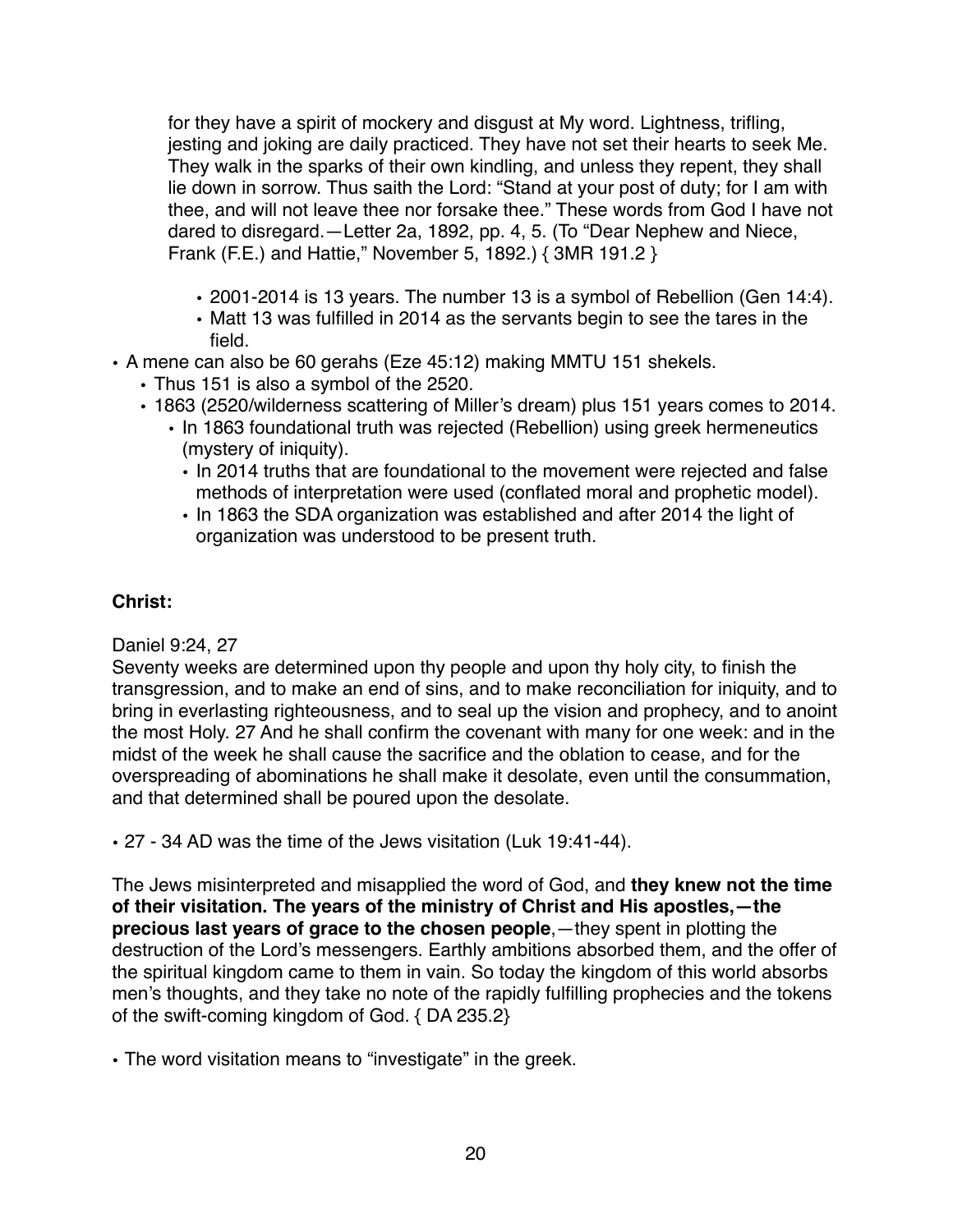for they have a spirit of mockery and disgust at My word. Lightness, trifling, jesting and joking are daily practiced. They have not set their hearts to seek Me. They walk in the sparks of their own kindling, and unless they repent, they shall lie down in sorrow. Thus saith the Lord: "Stand at your post of duty; for I am with thee, and will not leave thee nor forsake thee." These words from God I have not dared to disregard.—Letter 2a, 1892, pp. 4, 5. (To "Dear Nephew and Niece, Frank (F.E.) and Hattie," November 5, 1892.) { 3MR 191.2 }

- 2001-2014 is 13 years. The number 13 is a symbol of Rebellion (Gen 14:4).
- Matt 13 was fulfilled in 2014 as the servants begin to see the tares in the field.
- A mene can also be 60 gerahs (Eze 45:12) making MMTU 151 shekels.
	- Thus 151 is also a symbol of the 2520.
	- 1863 (2520/wilderness scattering of Miller's dream) plus 151 years comes to 2014.
		- In 1863 foundational truth was rejected (Rebellion) using greek hermeneutics (mystery of iniquity).
			- In 2014 truths that are foundational to the movement were rejected and false methods of interpretation were used (conflated moral and prophetic model).
			- In 1863 the SDA organization was established and after 2014 the light of organization was understood to be present truth.

## **Christ:**

Daniel 9:24, 27

Seventy weeks are determined upon thy people and upon thy holy city, to finish the transgression, and to make an end of sins, and to make reconciliation for iniquity, and to bring in everlasting righteousness, and to seal up the vision and prophecy, and to anoint the most Holy. 27 And he shall confirm the covenant with many for one week: and in the midst of the week he shall cause the sacrifice and the oblation to cease, and for the overspreading of abominations he shall make it desolate, even until the consummation, and that determined shall be poured upon the desolate.

• 27 - 34 AD was the time of the Jews visitation (Luk 19:41-44).

The Jews misinterpreted and misapplied the word of God, and **they knew not the time of their visitation. The years of the ministry of Christ and His apostles,—the precious last years of grace to the chosen people**,—they spent in plotting the destruction of the Lord's messengers. Earthly ambitions absorbed them, and the offer of the spiritual kingdom came to them in vain. So today the kingdom of this world absorbs men's thoughts, and they take no note of the rapidly fulfilling prophecies and the tokens of the swift-coming kingdom of God. { DA 235.2}

• The word visitation means to "investigate" in the greek.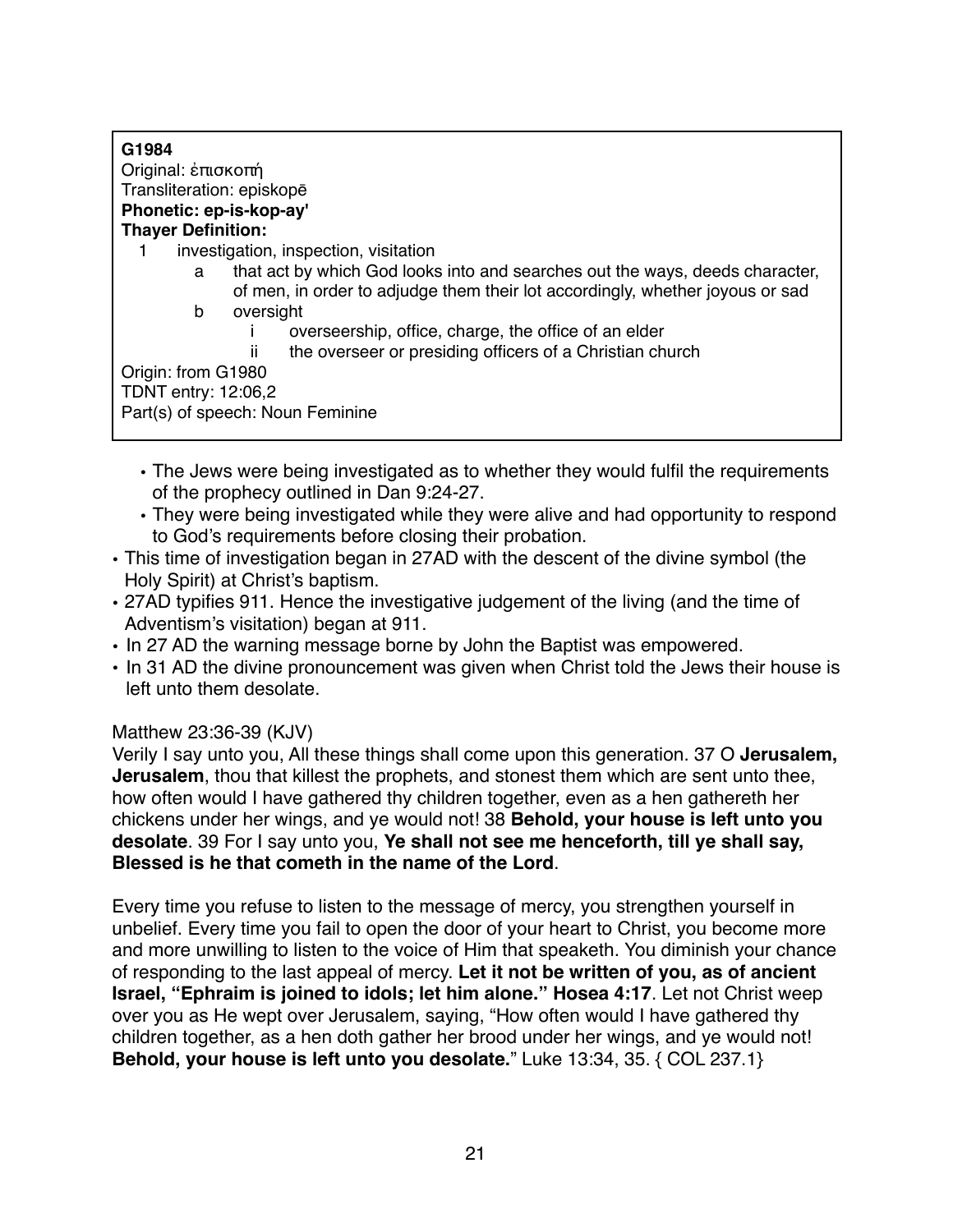| G1984                                                                                                                                                              |
|--------------------------------------------------------------------------------------------------------------------------------------------------------------------|
| Original: έπισκοπή                                                                                                                                                 |
| Transliteration: episkopē                                                                                                                                          |
| Phonetic: ep-is-kop-ay'                                                                                                                                            |
| <b>Thayer Definition:</b>                                                                                                                                          |
| investigation, inspection, visitation                                                                                                                              |
| that act by which God looks into and searches out the ways, deeds character,<br>a<br>of men, in order to adjudge them their lot accordingly, whether joyous or sad |
| b<br>oversight                                                                                                                                                     |
| overseership, office, charge, the office of an elder                                                                                                               |
| the overseer or presiding officers of a Christian church<br>ш                                                                                                      |
| Origin: from G1980                                                                                                                                                 |
| TDNT entry: 12:06,2                                                                                                                                                |
| Part(s) of speech: Noun Feminine                                                                                                                                   |
|                                                                                                                                                                    |

- The Jews were being investigated as to whether they would fulfil the requirements of the prophecy outlined in Dan 9:24-27.
- They were being investigated while they were alive and had opportunity to respond to God's requirements before closing their probation.
- This time of investigation began in 27AD with the descent of the divine symbol (the Holy Spirit) at Christ's baptism.
- 27AD typifies 911. Hence the investigative judgement of the living (and the time of Adventism's visitation) began at 911.
- In 27 AD the warning message borne by John the Baptist was empowered.
- In 31 AD the divine pronouncement was given when Christ told the Jews their house is left unto them desolate.

## Matthew 23:36-39 (KJV)

Verily I say unto you, All these things shall come upon this generation. 37 O **Jerusalem, Jerusalem**, thou that killest the prophets, and stonest them which are sent unto thee, how often would I have gathered thy children together, even as a hen gathereth her chickens under her wings, and ye would not! 38 **Behold, your house is left unto you desolate**. 39 For I say unto you, **Ye shall not see me henceforth, till ye shall say, Blessed is he that cometh in the name of the Lord**.

Every time you refuse to listen to the message of mercy, you strengthen yourself in unbelief. Every time you fail to open the door of your heart to Christ, you become more and more unwilling to listen to the voice of Him that speaketh. You diminish your chance of responding to the last appeal of mercy. **Let it not be written of you, as of ancient Israel, "Ephraim is joined to idols; let him alone." Hosea 4:17**. Let not Christ weep over you as He wept over Jerusalem, saying, "How often would I have gathered thy children together, as a hen doth gather her brood under her wings, and ye would not! **Behold, your house is left unto you desolate.**" Luke 13:34, 35. { COL 237.1}